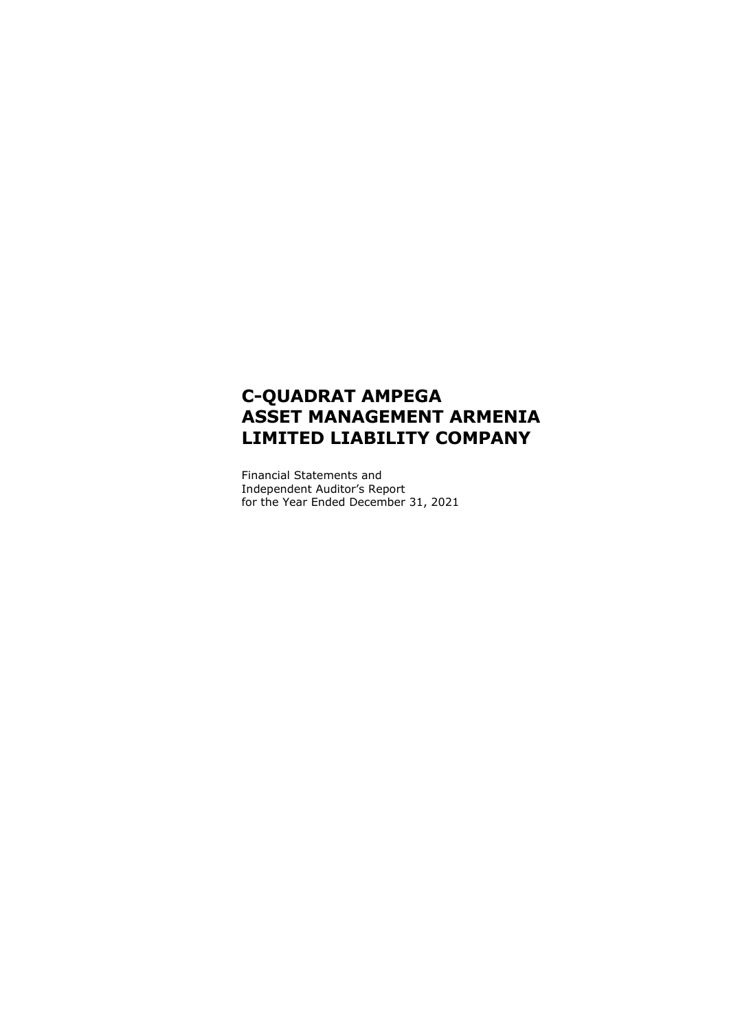# **C-QUADRAT AMPEGA ASSET MANAGEMENT ARMENIA LIMITED LIABILITY COMPANY**

Financial Statements and Independent Auditor's Report for the Year Ended December 31, 2021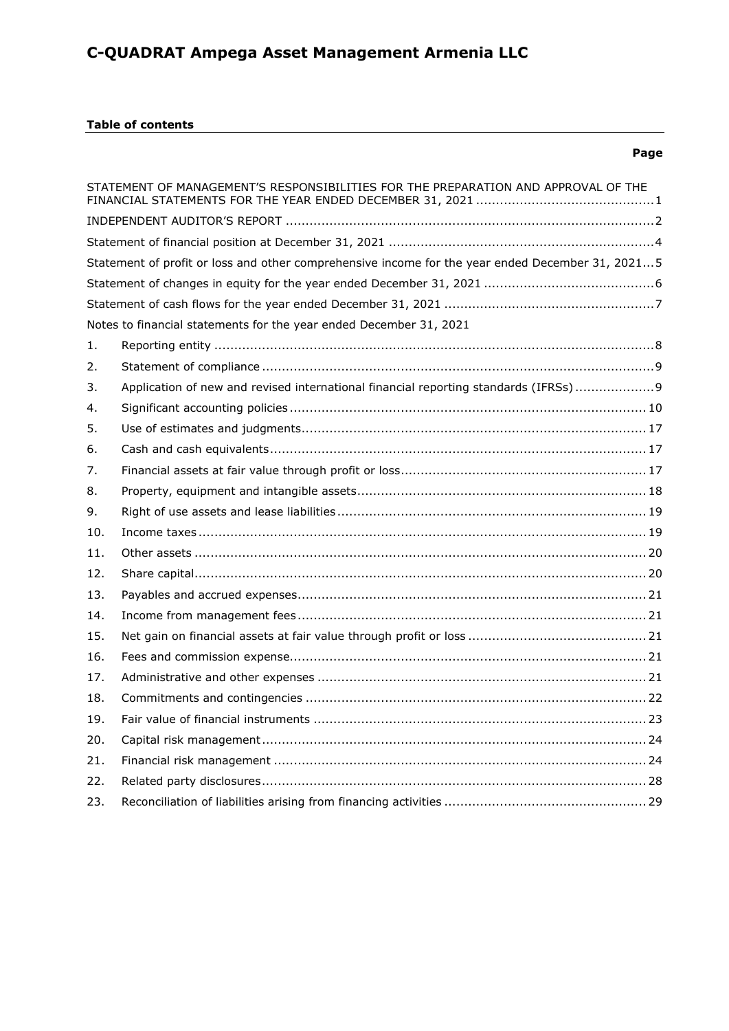# **Table of contents**

# **Page**

|     | STATEMENT OF MANAGEMENT'S RESPONSIBILITIES FOR THE PREPARATION AND APPROVAL OF THE               |
|-----|--------------------------------------------------------------------------------------------------|
|     |                                                                                                  |
|     |                                                                                                  |
|     | Statement of profit or loss and other comprehensive income for the year ended December 31, 20215 |
|     |                                                                                                  |
|     |                                                                                                  |
|     | Notes to financial statements for the year ended December 31, 2021                               |
| 1.  |                                                                                                  |
| 2.  |                                                                                                  |
| 3.  | Application of new and revised international financial reporting standards (IFRSs)  9            |
| 4.  |                                                                                                  |
| 5.  |                                                                                                  |
| 6.  |                                                                                                  |
| 7.  |                                                                                                  |
| 8.  |                                                                                                  |
| 9.  |                                                                                                  |
| 10. |                                                                                                  |
| 11. |                                                                                                  |
| 12. |                                                                                                  |
| 13. |                                                                                                  |
| 14. |                                                                                                  |
| 15. |                                                                                                  |
| 16. |                                                                                                  |
| 17. |                                                                                                  |
| 18. |                                                                                                  |
| 19. |                                                                                                  |
| 20. |                                                                                                  |
| 21. |                                                                                                  |
| 22. |                                                                                                  |
| 23. |                                                                                                  |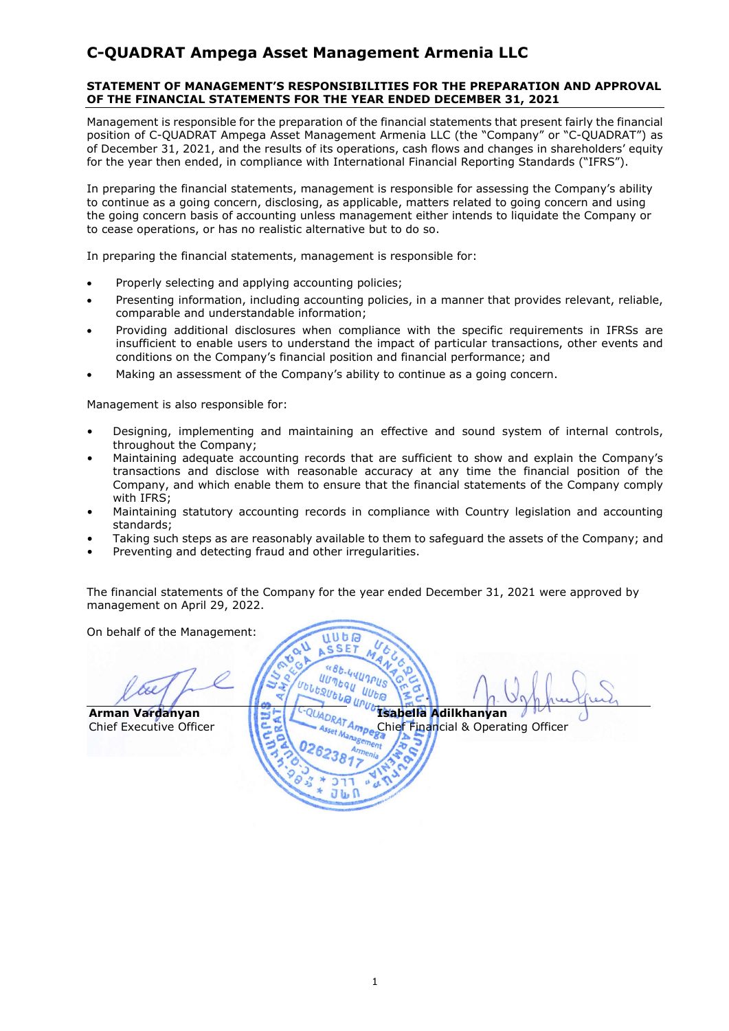### <span id="page-2-0"></span>**STATEMENT OF MANAGEMENT'S RESPONSIBILITIES FOR THE PREPARATION AND APPROVAL OF THE FINANCIAL STATEMENTS FOR THE YEAR ENDED DECEMBER 31, 2021**

Management is responsible for the preparation of the financial statements that present fairly the financial position of C-QUADRAT Ampega Asset Management Armenia LLC (the "Company" or "C-QUADRAT") as of December 31, 2021, and the results of its operations, cash flows and changes in shareholders' equity for the year then ended, in compliance with International Financial Reporting Standards ("IFRS").

In preparing the financial statements, management is responsible for assessing the Company's ability to continue as a going concern, disclosing, as applicable, matters related to going concern and using the going concern basis of accounting unless management either intends to liquidate the Company or to cease operations, or has no realistic alternative but to do so.

In preparing the financial statements, management is responsible for:

- Properly selecting and applying accounting policies;
- Presenting information, including accounting policies, in a manner that provides relevant, reliable, comparable and understandable information;
- Providing additional disclosures when compliance with the specific requirements in IFRSs are insufficient to enable users to understand the impact of particular transactions, other events and conditions on the Company's financial position and financial performance; and
- Making an assessment of the Company's ability to continue as a going concern.

Management is also responsible for:

- Designing, implementing and maintaining an effective and sound system of internal controls, throughout the Company;
- Maintaining adequate accounting records that are sufficient to show and explain the Company's transactions and disclose with reasonable accuracy at any time the financial position of the Company, and which enable them to ensure that the financial statements of the Company comply with IFRS;
- Maintaining statutory accounting records in compliance with Country legislation and accounting standards;
- Taking such steps as are reasonably available to them to safeguard the assets of the Company; and
- Preventing and detecting fraud and other irregularities.

The financial statements of the Company for the year ended December 31, 2021 were approved by management on April 29, 2022.

On behalf of the Management: uuta ASSET "86-4447PUS UUMb9U UUbA ö **S** R **Arman Vardanyan** i<br>E **Isabella Adilkhanyan** Chief Executive Officer pot. B. Chief Financial & Operating Officer 238

 $27$ JWN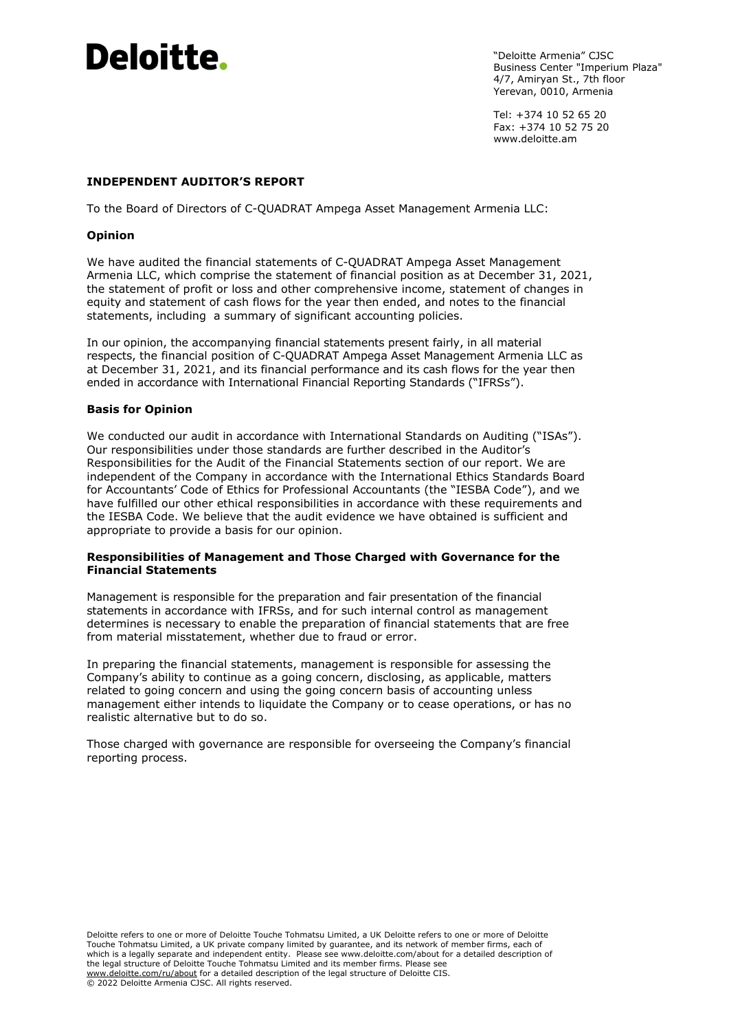

"Deloitte Armenia" CJSC Business Center "Imperium Plaza" 4/7, Amiryan St., 7th floor Yerevan, 0010, Armenia

Tel: +374 10 52 65 20 Fax: +374 10 52 75 20 www.deloitte.am

### <span id="page-3-0"></span>**INDEPENDENT AUDITOR'S REPORT**

To the Board of Directors of C-QUADRAT Ampega Asset Management Armenia LLC:

#### **Opinion**

We have audited the financial statements of C-QUADRAT Ampega Asset Management Armenia LLC, which comprise the statement of financial position as at December 31, 2021, the statement of profit or loss and other comprehensive income, statement of changes in equity and statement of cash flows for the year then ended, and notes to the financial statements, including a summary of significant accounting policies.

In our opinion, the accompanying financial statements present fairly, in all material respects, the financial position of C-QUADRAT Ampega Asset Management Armenia LLC as at December 31, 2021, and its financial performance and its cash flows for the year then ended in accordance with International Financial Reporting Standards ("IFRSs").

#### **Basis for Opinion**

We conducted our audit in accordance with International Standards on Auditing ("ISAs"). Our responsibilities under those standards are further described in the Auditor's Responsibilities for the Audit of the Financial Statements section of our report. We are independent of the Company in accordance with the International Ethics Standards Board for Accountants' Code of Ethics for Professional Accountants (the "IESBA Code"), and we have fulfilled our other ethical responsibilities in accordance with these requirements and the IESBA Code. We believe that the audit evidence we have obtained is sufficient and appropriate to provide a basis for our opinion.

### **Responsibilities of Management and Those Charged with Governance for the Financial Statements**

Management is responsible for the preparation and fair presentation of the financial statements in accordance with IFRSs, and for such internal control as management determines is necessary to enable the preparation of financial statements that are free from material misstatement, whether due to fraud or error.

In preparing the financial statements, management is responsible for assessing the Company's ability to continue as a going concern, disclosing, as applicable, matters related to going concern and using the going concern basis of accounting unless management either intends to liquidate the Company or to cease operations, or has no realistic alternative but to do so.

Those charged with governance are responsible for overseeing the Company's financial reporting process.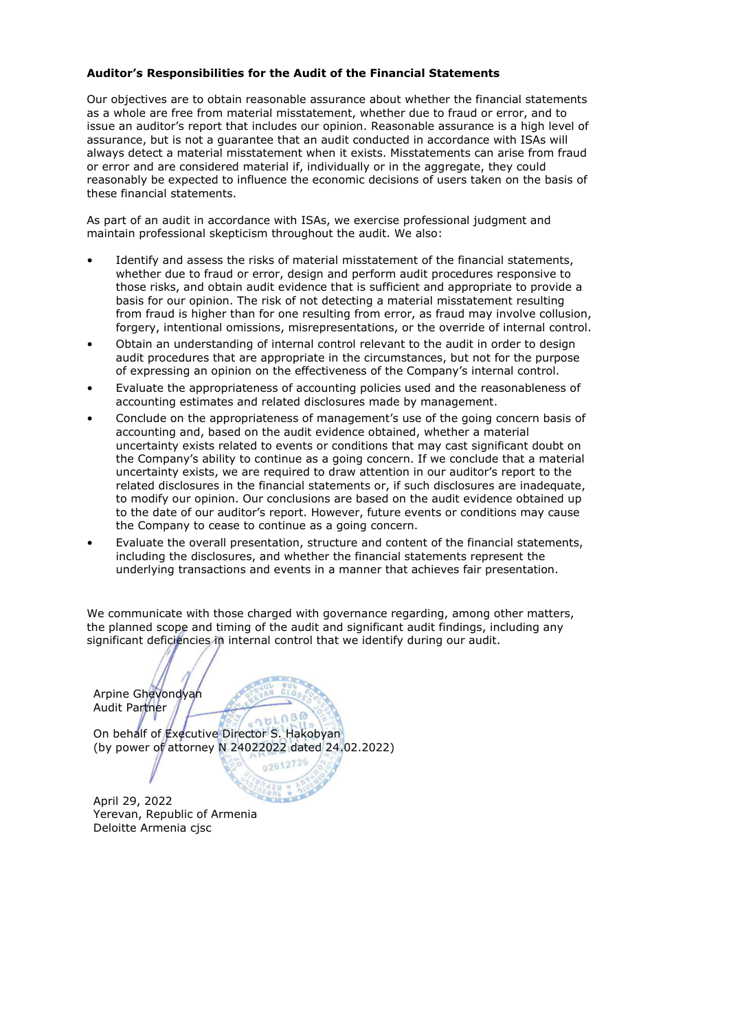### **Auditor's Responsibilities for the Audit of the Financial Statements**

Our objectives are to obtain reasonable assurance about whether the financial statements as a whole are free from material misstatement, whether due to fraud or error, and to issue an auditor's report that includes our opinion. Reasonable assurance is a high level of assurance, but is not a guarantee that an audit conducted in accordance with ISAs will always detect a material misstatement when it exists. Misstatements can arise from fraud or error and are considered material if, individually or in the aggregate, they could reasonably be expected to influence the economic decisions of users taken on the basis of these financial statements.

As part of an audit in accordance with ISAs, we exercise professional judgment and maintain professional skepticism throughout the audit. We also:

- Identify and assess the risks of material misstatement of the financial statements, whether due to fraud or error, design and perform audit procedures responsive to those risks, and obtain audit evidence that is sufficient and appropriate to provide a basis for our opinion. The risk of not detecting a material misstatement resulting from fraud is higher than for one resulting from error, as fraud may involve collusion, forgery, intentional omissions, misrepresentations, or the override of internal control.
- Obtain an understanding of internal control relevant to the audit in order to design audit procedures that are appropriate in the circumstances, but not for the purpose of expressing an opinion on the effectiveness of the Company's internal control.
- Evaluate the appropriateness of accounting policies used and the reasonableness of accounting estimates and related disclosures made by management.
- Conclude on the appropriateness of management's use of the going concern basis of accounting and, based on the audit evidence obtained, whether a material uncertainty exists related to events or conditions that may cast significant doubt on the Company's ability to continue as a going concern. If we conclude that a material uncertainty exists, we are required to draw attention in our auditor's report to the related disclosures in the financial statements or, if such disclosures are inadequate, to modify our opinion. Our conclusions are based on the audit evidence obtained up to the date of our auditor's report. However, future events or conditions may cause the Company to cease to continue as a going concern.
- Evaluate the overall presentation, structure and content of the financial statements, including the disclosures, and whether the financial statements represent the underlying transactions and events in a manner that achieves fair presentation.

We communicate with those charged with governance regarding, among other matters, the planned scope and timing of the audit and significant audit findings, including any significant deficiencies in internal control that we identify during our audit.

Arpine Ghevondyan Audit Partner

26LN3R On behalf of Executive Director S. Hakobyan (by power of attorney N 24022022 dated 24.02.2022)

April 29, 2022 Yerevan, Republic of Armenia Deloitte Armenia cjsc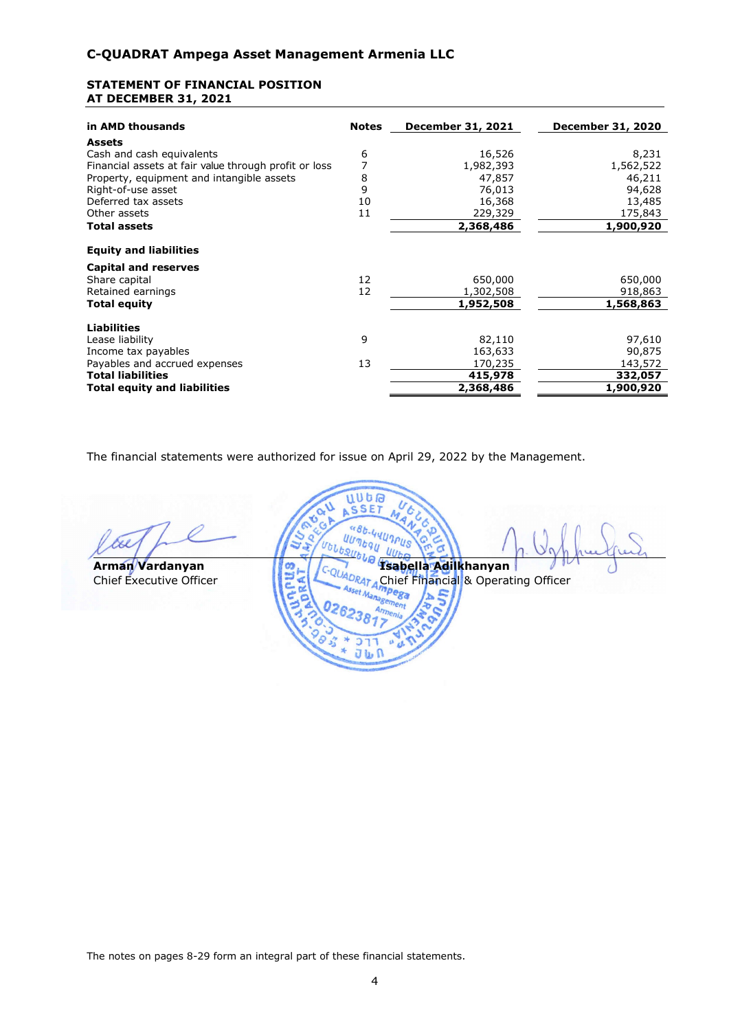### <span id="page-5-1"></span><span id="page-5-0"></span>**STATEMENT OF FINANCIAL POSITION AT DECEMBER 31, 2021**

| in AMD thousands                                      | <b>Notes</b> | <b>December 31, 2021</b> | <b>December 31, 2020</b> |
|-------------------------------------------------------|--------------|--------------------------|--------------------------|
| <b>Assets</b>                                         |              |                          |                          |
| Cash and cash equivalents                             | 6            | 16,526                   | 8,231                    |
| Financial assets at fair value through profit or loss |              | 1,982,393                | 1,562,522                |
| Property, equipment and intangible assets             | 8            | 47,857                   | 46,211                   |
| Right-of-use asset                                    | 9            | 76,013                   | 94,628                   |
| Deferred tax assets                                   | 10           | 16,368                   | 13,485                   |
| Other assets                                          | 11           | 229,329                  | 175,843                  |
| <b>Total assets</b>                                   |              | 2,368,486                | 1,900,920                |
| <b>Equity and liabilities</b>                         |              |                          |                          |
| <b>Capital and reserves</b>                           |              |                          |                          |
| Share capital                                         | 12           | 650,000                  | 650,000                  |
| Retained earnings                                     | 12           | 1,302,508                | 918,863                  |
| Total equity                                          |              | 1,952,508                | 1,568,863                |
| <b>Liabilities</b>                                    |              |                          |                          |
| Lease liability                                       | 9            | 82,110                   | 97,610                   |
| Income tax payables                                   |              | 163,633                  | 90,875                   |
| Payables and accrued expenses                         | 13           | 170,235                  | 143,572                  |
| <b>Total liabilities</b>                              |              | 415,978                  | 332,057                  |
| <b>Total equity and liabilities</b>                   |              | 2,368,486                | 1,900,920                |

The financial statements were authorized for issue on April 29, 2022 by the Management.

**Arman Vardanyan**

Chief Executive Officer

**UUD0** ASSET  $1150 - 441$ UUMbay<br>UUMbay ĉ O **UDLEQUE**  $\sum_{i=1}^{n}$ **Isabella Adilkhanyan PUS** C-QUADRAT AChief Financial & Operating Officer **DRAT** Asset A ë S  $51$ zł งษก

The notes on pages 8-29 form an integral part of these financial statements.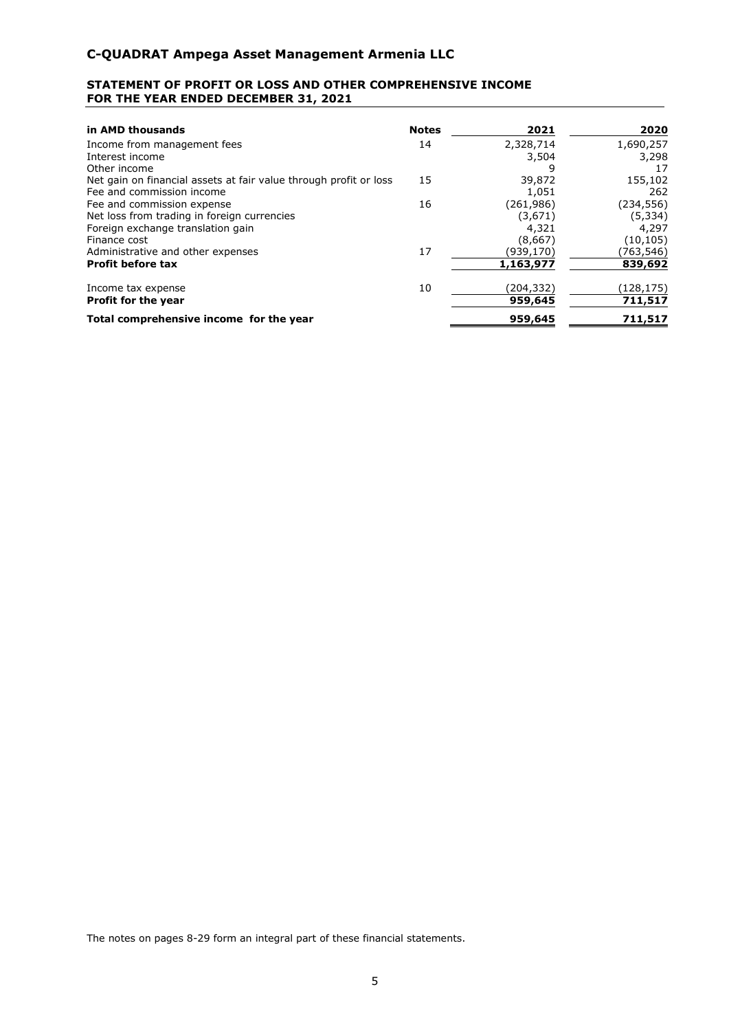### <span id="page-6-1"></span><span id="page-6-0"></span>**STATEMENT OF PROFIT OR LOSS AND OTHER COMPREHENSIVE INCOME FOR THE YEAR ENDED DECEMBER 31, 2021**

| in AMD thousands                                                  | <b>Notes</b> | 2021      | 2020       |
|-------------------------------------------------------------------|--------------|-----------|------------|
| Income from management fees                                       | 14           | 2,328,714 | 1,690,257  |
| Interest income                                                   |              | 3,504     | 3,298      |
| Other income                                                      |              | 9         | 17         |
| Net gain on financial assets at fair value through profit or loss | 15           | 39,872    | 155,102    |
| Fee and commission income                                         |              | 1,051     | 262        |
| Fee and commission expense                                        | 16           | (261,986) | (234, 556) |
| Net loss from trading in foreign currencies                       |              | (3,671)   | (5, 334)   |
| Foreign exchange translation gain                                 |              | 4,321     | 4,297      |
| Finance cost                                                      |              | (8,667)   | (10, 105)  |
| Administrative and other expenses                                 | 17           | (939,170) | (763,546)  |
| <b>Profit before tax</b>                                          |              | 1,163,977 | 839,692    |
| Income tax expense                                                | 10           | (204,332) | (128,175)  |
| <b>Profit for the year</b>                                        |              | 959,645   | 711,517    |
| Total comprehensive income for the year                           |              | 959,645   | 711,517    |

The notes on pages 8-29 form an integral part of these financial statements.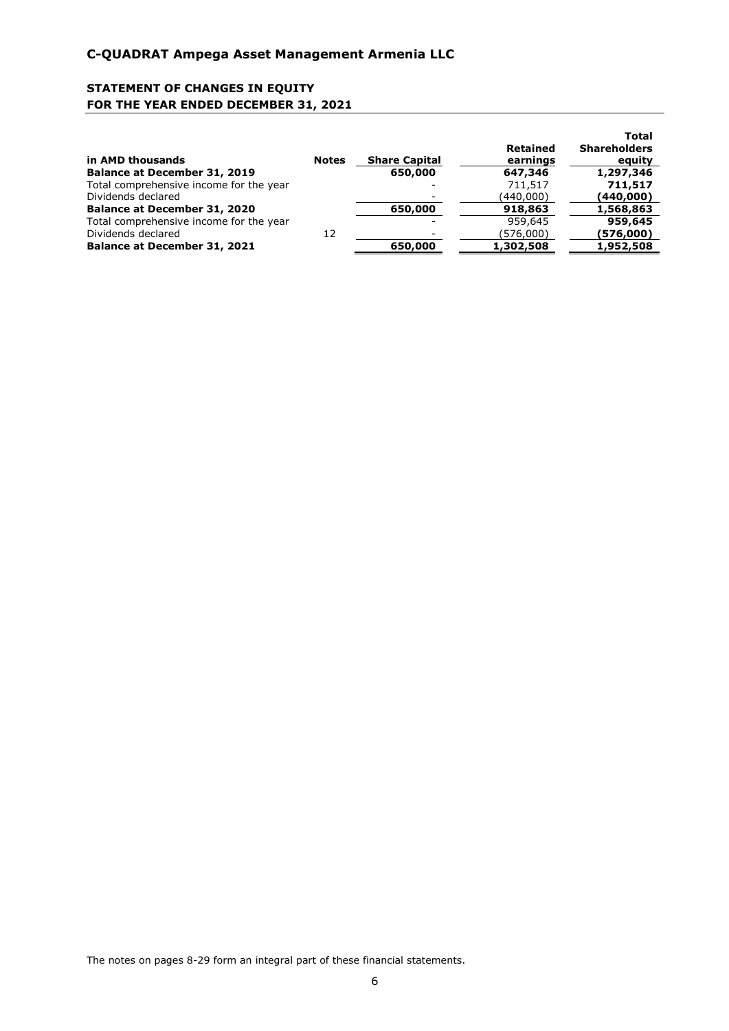# <span id="page-7-1"></span><span id="page-7-0"></span>**STATEMENT OF CHANGES IN EQUITY FOR THE YEAR ENDED DECEMBER 31, 2021**

| in AMD thousands                        | <b>Notes</b> | <b>Share Capital</b> | Retained<br>earnings | <b>Total</b><br><b>Shareholders</b><br>equity |
|-----------------------------------------|--------------|----------------------|----------------------|-----------------------------------------------|
| <b>Balance at December 31, 2019</b>     |              | 650,000              | 647,346              | 1,297,346                                     |
| Total comprehensive income for the year |              |                      | 711.517              | 711,517                                       |
| Dividends declared                      |              |                      | (440,000)            | (440,000)                                     |
| <b>Balance at December 31, 2020</b>     |              | 650,000              | 918,863              | 1,568,863                                     |
| Total comprehensive income for the year |              |                      | 959,645              | 959,645                                       |
| Dividends declared                      | 12           |                      | (576,000)            | (576,000)                                     |
| <b>Balance at December 31, 2021</b>     |              | 650,000              | 1,302,508            | 1,952,508                                     |

The notes on pages 8-29 form an integral part of these financial statements.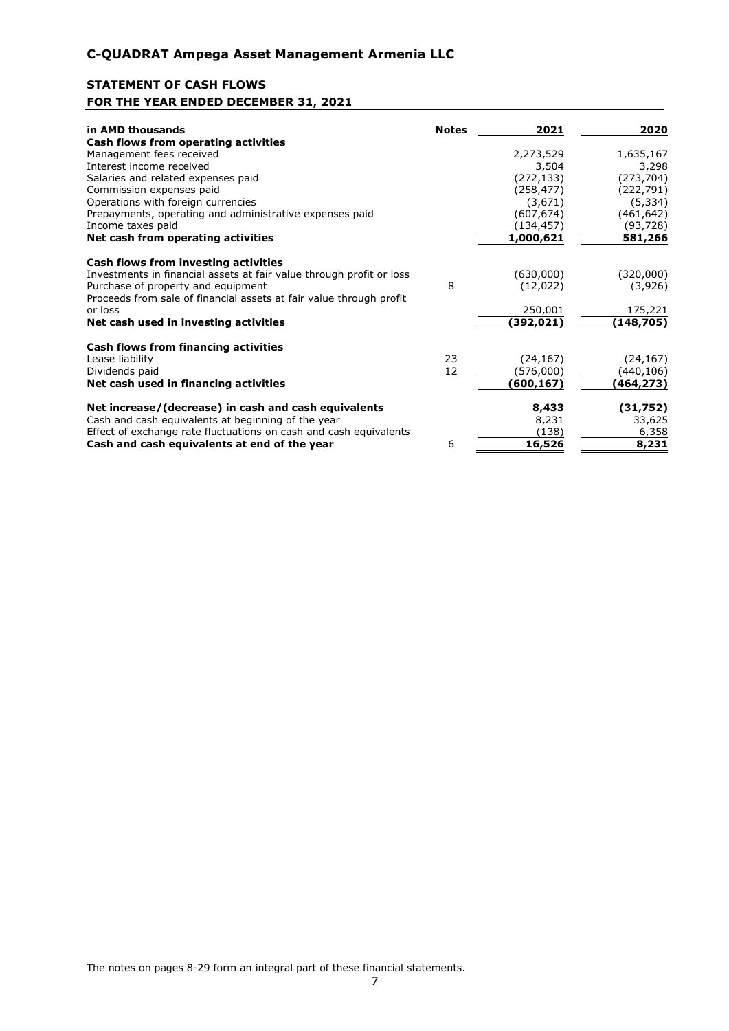# <span id="page-8-1"></span><span id="page-8-0"></span>**STATEMENT OF CASH FLOWS FOR THE YEAR ENDED DECEMBER 31, 2021**

| in AMD thousands                                                     | <b>Notes</b> | 2021       | 2020       |
|----------------------------------------------------------------------|--------------|------------|------------|
| Cash flows from operating activities                                 |              |            |            |
| Management fees received                                             |              | 2,273,529  | 1,635,167  |
| Interest income received                                             |              | 3,504      | 3,298      |
| Salaries and related expenses paid                                   |              | (272, 133) | (273,704)  |
| Commission expenses paid                                             |              | (258, 477) | (222, 791) |
| Operations with foreign currencies                                   |              | (3,671)    | (5, 334)   |
| Prepayments, operating and administrative expenses paid              |              | (607, 674) | (461, 642) |
| Income taxes paid                                                    |              | (134,457)  | (93, 728)  |
| Net cash from operating activities                                   |              | 1,000,621  | 581,266    |
| Cash flows from investing activities                                 |              |            |            |
| Investments in financial assets at fair value through profit or loss |              | (630,000)  | (320,000)  |
| Purchase of property and equipment                                   | 8            | (12, 022)  | (3,926)    |
| Proceeds from sale of financial assets at fair value through profit  |              |            |            |
| or loss                                                              |              | 250,001    | 175,221    |
| Net cash used in investing activities                                |              | (392,021)  | (148,705)  |
| Cash flows from financing activities                                 |              |            |            |
| Lease liability                                                      | 23           | (24, 167)  | (24, 167)  |
| Dividends paid                                                       | 12           | (576,000)  | (440,106)  |
| Net cash used in financing activities                                |              | (600,167)  | (464,273)  |
|                                                                      |              |            |            |
| Net increase/(decrease) in cash and cash equivalents                 |              | 8,433      | (31,752)   |
| Cash and cash equivalents at beginning of the year                   |              | 8,231      | 33,625     |
| Effect of exchange rate fluctuations on cash and cash equivalents    |              | (138)      | 6,358      |
| Cash and cash equivalents at end of the year                         | 6            | 16,526     | 8,231      |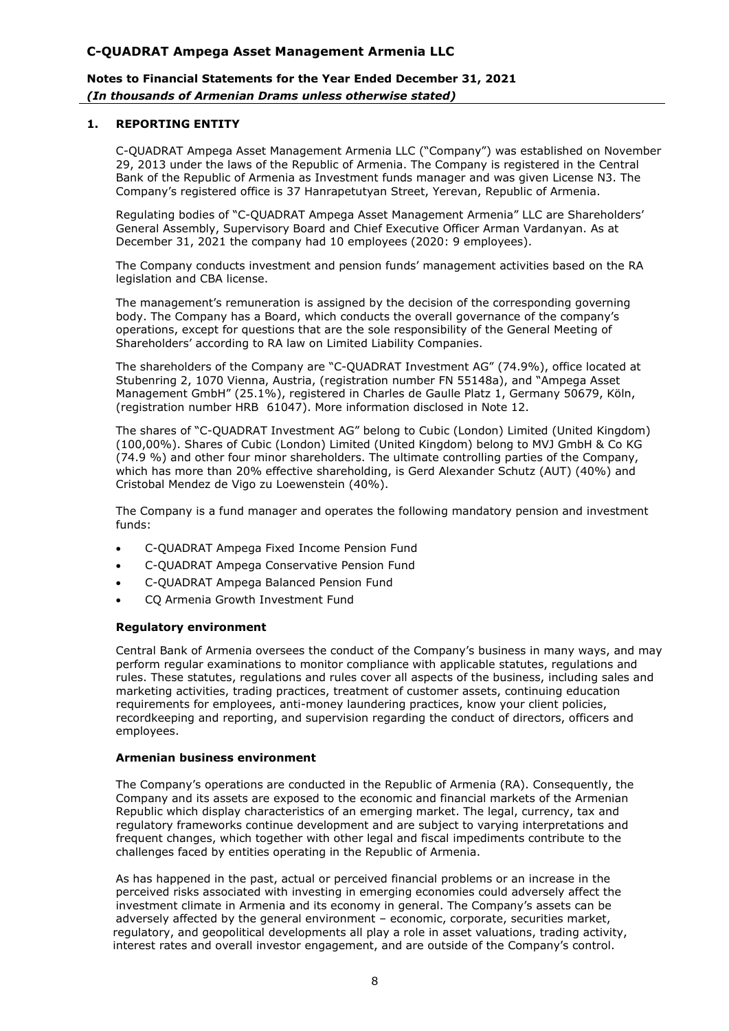# **Notes to Financial Statements for the Year Ended December 31, 2021**  *(In thousands of Armenian Drams unless otherwise stated)*

### <span id="page-9-0"></span>**1. REPORTING ENTITY**

C-QUADRAT Ampega Asset Management Armenia LLC ("Company") was established on November 29, 2013 under the laws of the Republic of Armenia. The Company is registered in the Central Bank of the Republic of Armenia as Investment funds manager and was given License N3. The Company's registered office is 37 Hanrapetutyan Street, Yerevan, Republic of Armenia.

Regulating bodies of "C-QUADRAT Ampega Asset Management Armenia" LLC are Shareholders' General Assembly, Supervisory Board and Chief Executive Officer Arman Vardanyan. As at December 31, 2021 the company had 10 employees (2020: 9 employees).

The Company conducts investment and pension funds' management activities based on the RA legislation and CBA license.

The management's remuneration is assigned by the decision of the corresponding governing body. The Company has a Board, which conducts the overall governance of the company's operations, except for questions that are the sole responsibility of the General Meeting of Shareholders' according to RA law on Limited Liability Companies.

The shareholders of the Company are "C-QUADRAT Investment AG" (74.9%), office located at Stubenring 2, 1070 Vienna, Austria, (registration number FN 55148a), and "Ampega Asset Management GmbH" (25.1%), registered in Charles de Gaulle Platz 1, Germany 50679, Köln, (registration number HRB 61047). More information disclosed in Note 12.

The shares of "C-QUADRAT Investment AG" belong to Cubic (London) Limited (United Kingdom) (100,00%). Shares of Cubic (London) Limited (United Kingdom) belong to MVJ GmbH & Co KG (74.9 %) and other four minor shareholders. The ultimate controlling parties of the Company, which has more than 20% effective shareholding, is Gerd Alexander Schutz (AUT) (40%) and Cristobal Mendez de Vigo zu Loewenstein (40%).

The Company is a fund manager and operates the following mandatory pension and investment funds:

- C-QUADRAT Ampega Fixed Income Pension Fund
- C-QUADRAT Ampega Conservative Pension Fund
- C-QUADRAT Ampega Balanced Pension Fund
- CQ Armenia Growth Investment Fund

### **Regulatory environment**

Central Bank of Armenia oversees the conduct of the Company's business in many ways, and may perform regular examinations to monitor compliance with applicable statutes, regulations and rules. These statutes, regulations and rules cover all aspects of the business, including sales and marketing activities, trading practices, treatment of customer assets, continuing education requirements for employees, anti-money laundering practices, know your client policies, recordkeeping and reporting, and supervision regarding the conduct of directors, officers and employees.

### **Armenian business environment**

The Company's operations are conducted in the Republic of Armenia (RA). Consequently, the Company and its assets are exposed to the economic and financial markets of the Armenian Republic which display characteristics of an emerging market. The legal, currency, tax and regulatory frameworks continue development and are subject to varying interpretations and frequent changes, which together with other legal and fiscal impediments contribute to the challenges faced by entities operating in the Republic of Armenia.

As has happened in the past, actual or perceived financial problems or an increase in the perceived risks associated with investing in emerging economies could adversely affect the investment climate in Armenia and its economy in general. The Company's assets can be adversely affected by the general environment – economic, corporate, securities market, regulatory, and geopolitical developments all play a role in asset valuations, trading activity, interest rates and overall investor engagement, and are outside of the Company's control.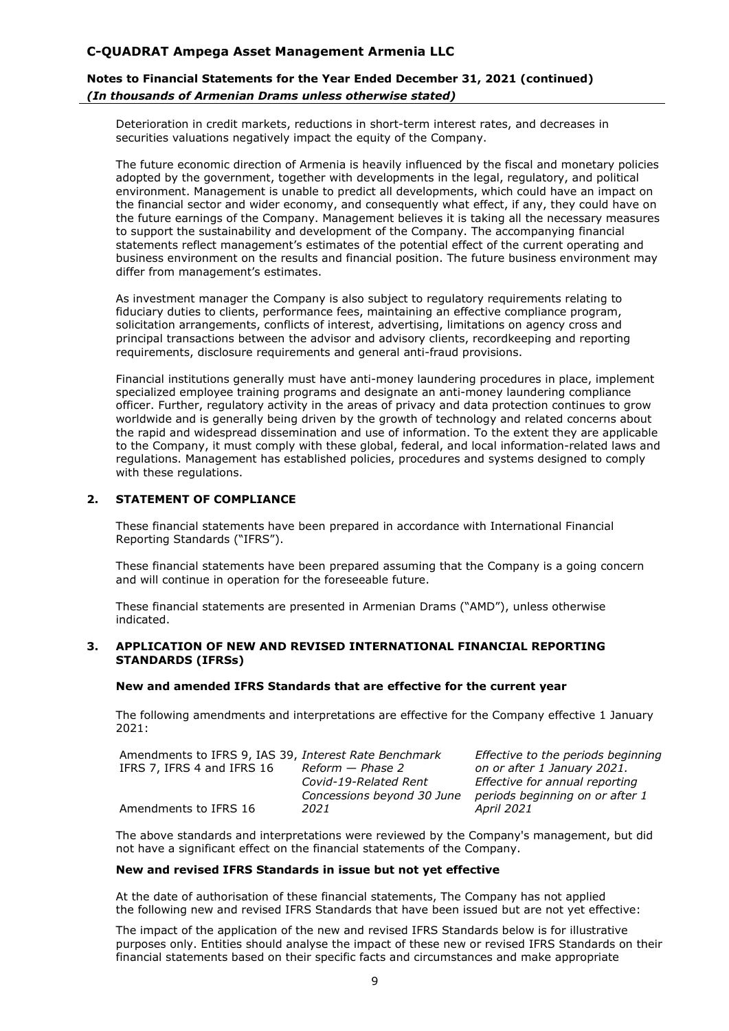# **Notes to Financial Statements for the Year Ended December 31, 2021 (continued)** *(In thousands of Armenian Drams unless otherwise stated)*

Deterioration in credit markets, reductions in short-term interest rates, and decreases in securities valuations negatively impact the equity of the Company.

The future economic direction of Armenia is heavily influenced by the fiscal and monetary policies adopted by the government, together with developments in the legal, regulatory, and political environment. Management is unable to predict all developments, which could have an impact on the financial sector and wider economy, and consequently what effect, if any, they could have on the future earnings of the Company. Management believes it is taking all the necessary measures to support the sustainability and development of the Company. The accompanying financial statements reflect management's estimates of the potential effect of the current operating and business environment on the results and financial position. The future business environment may differ from management's estimates.

As investment manager the Company is also subject to regulatory requirements relating to fiduciary duties to clients, performance fees, maintaining an effective compliance program, solicitation arrangements, conflicts of interest, advertising, limitations on agency cross and principal transactions between the advisor and advisory clients, recordkeeping and reporting requirements, disclosure requirements and general anti-fraud provisions.

Financial institutions generally must have anti-money laundering procedures in place, implement specialized employee training programs and designate an anti-money laundering compliance officer. Further, regulatory activity in the areas of privacy and data protection continues to grow worldwide and is generally being driven by the growth of technology and related concerns about the rapid and widespread dissemination and use of information. To the extent they are applicable to the Company, it must comply with these global, federal, and local information-related laws and regulations. Management has established policies, procedures and systems designed to comply with these regulations.

### <span id="page-10-0"></span>**2. STATEMENT OF COMPLIANCE**

These financial statements have been prepared in accordance with International Financial Reporting Standards ("IFRS").

These financial statements have been prepared assuming that the Company is a going concern and will continue in operation for the foreseeable future.

These financial statements are presented in Armenian Drams ("AMD"), unless otherwise indicated.

### <span id="page-10-1"></span>**3. APPLICATION OF NEW AND REVISED INTERNATIONAL FINANCIAL REPORTING STANDARDS (IFRSs)**

#### **New and amended IFRS Standards that are effective for the current year**

The following amendments and interpretations are effective for the Company effective 1 January 2021:

| Amendments to IFRS 9, IAS 39, Interest Rate Benchmark |                            | Effective to the periods beginning |
|-------------------------------------------------------|----------------------------|------------------------------------|
| IFRS 7, IFRS 4 and IFRS 16                            | Reform — Phase 2           | on or after 1 January 2021.        |
|                                                       | Covid-19-Related Rent      | Effective for annual reporting     |
|                                                       | Concessions bevond 30 June | periods beginning on or after 1    |
| Amendments to IFRS 16                                 | 2021                       | April 2021                         |

The above standards and interpretations were reviewed by the Company's management, but did not have a significant effect on the financial statements of the Company.

### **New and revised IFRS Standards in issue but not yet effective**

At the date of authorisation of these financial statements, The Company has not applied the following new and revised IFRS Standards that have been issued but are not yet effective:

The impact of the application of the new and revised IFRS Standards below is for illustrative purposes only. Entities should analyse the impact of these new or revised IFRS Standards on their financial statements based on their specific facts and circumstances and make appropriate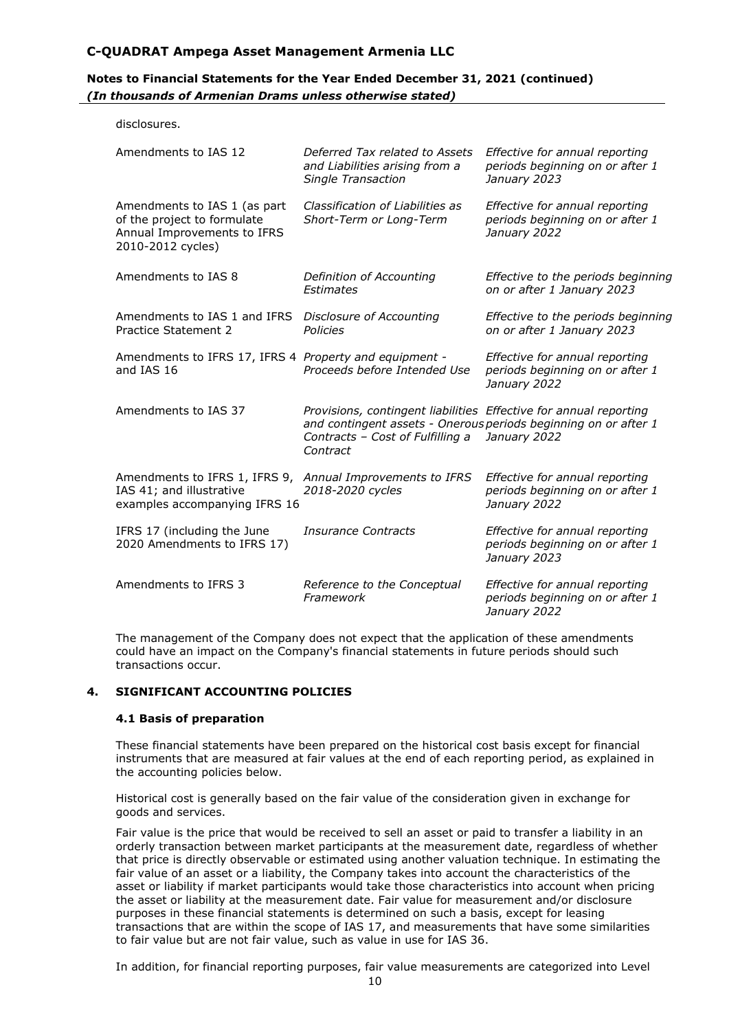# **Notes to Financial Statements for the Year Ended December 31, 2021 (continued)** *(In thousands of Armenian Drams unless otherwise stated)*

| disclosures.                                                                                                           |                                                                                                                                                                                      |                                                                                   |
|------------------------------------------------------------------------------------------------------------------------|--------------------------------------------------------------------------------------------------------------------------------------------------------------------------------------|-----------------------------------------------------------------------------------|
| Amendments to IAS 12                                                                                                   | Deferred Tax related to Assets<br>and Liabilities arising from a<br>Single Transaction                                                                                               | Effective for annual reporting<br>periods beginning on or after 1<br>January 2023 |
| Amendments to IAS 1 (as part<br>of the project to formulate<br>Annual Improvements to IFRS<br>2010-2012 cycles)        | Classification of Liabilities as<br>Short-Term or Long-Term                                                                                                                          | Effective for annual reporting<br>periods beginning on or after 1<br>January 2022 |
| Amendments to IAS 8                                                                                                    | Definition of Accounting<br>Estimates                                                                                                                                                | Effective to the periods beginning<br>on or after 1 January 2023                  |
| Amendments to IAS 1 and IFRS<br><b>Practice Statement 2</b>                                                            | <b>Disclosure of Accounting</b><br><b>Policies</b>                                                                                                                                   | Effective to the periods beginning<br>on or after 1 January 2023                  |
| Amendments to IFRS 17, IFRS 4 Property and equipment -<br>and IAS 16                                                   | Proceeds before Intended Use                                                                                                                                                         | Effective for annual reporting<br>periods beginning on or after 1<br>January 2022 |
| Amendments to IAS 37                                                                                                   | Provisions, contingent liabilities Effective for annual reporting<br>and contingent assets - Onerous periods beginning on or after 1<br>Contracts - Cost of Fulfilling a<br>Contract | January 2022                                                                      |
| Amendments to IFRS 1, IFRS 9, Annual Improvements to IFRS<br>IAS 41; and illustrative<br>examples accompanying IFRS 16 | 2018-2020 cycles                                                                                                                                                                     | Effective for annual reporting<br>periods beginning on or after 1<br>January 2022 |
| IFRS 17 (including the June<br>2020 Amendments to IFRS 17)                                                             | <b>Insurance Contracts</b>                                                                                                                                                           | Effective for annual reporting<br>periods beginning on or after 1<br>January 2023 |
| Amendments to IFRS 3                                                                                                   | Reference to the Conceptual<br>Framework                                                                                                                                             | Effective for annual reporting<br>periods beginning on or after 1<br>January 2022 |

The management of the Company does not expect that the application of these amendments could have an impact on the Company's financial statements in future periods should such transactions occur.

### <span id="page-11-0"></span>**4. SIGNIFICANT ACCOUNTING POLICIES**

### **4.1 Basis of preparation**

These financial statements have been prepared on the historical cost basis except for financial instruments that are measured at fair values at the end of each reporting period, as explained in the accounting policies below.

Historical cost is generally based on the fair value of the consideration given in exchange for goods and services.

Fair value is the price that would be received to sell an asset or paid to transfer a liability in an orderly transaction between market participants at the measurement date, regardless of whether that price is directly observable or estimated using another valuation technique. In estimating the fair value of an asset or a liability, the Company takes into account the characteristics of the asset or liability if market participants would take those characteristics into account when pricing the asset or liability at the measurement date. Fair value for measurement and/or disclosure purposes in these financial statements is determined on such a basis, except for leasing transactions that are within the scope of IAS 17, and measurements that have some similarities to fair value but are not fair value, such as value in use for IAS 36.

In addition, for financial reporting purposes, fair value measurements are categorized into Level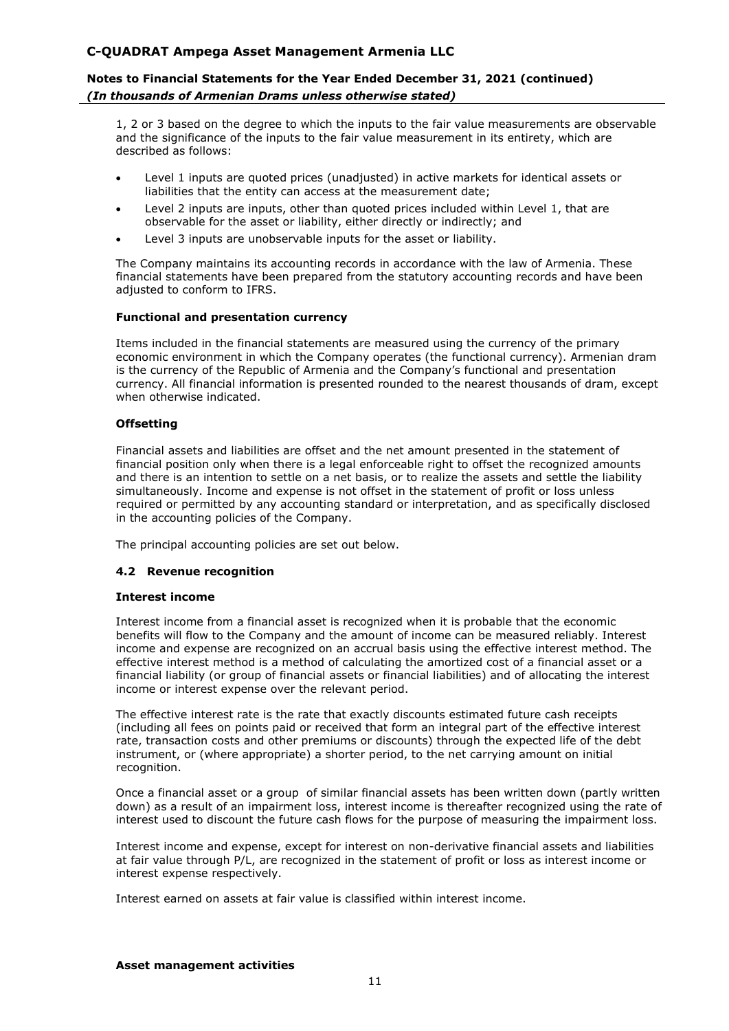# **Notes to Financial Statements for the Year Ended December 31, 2021 (continued)** *(In thousands of Armenian Drams unless otherwise stated)*

1, 2 or 3 based on the degree to which the inputs to the fair value measurements are observable and the significance of the inputs to the fair value measurement in its entirety, which are described as follows:

- Level 1 inputs are quoted prices (unadjusted) in active markets for identical assets or liabilities that the entity can access at the measurement date;
- Level 2 inputs are inputs, other than quoted prices included within Level 1, that are observable for the asset or liability, either directly or indirectly; and
- Level 3 inputs are unobservable inputs for the asset or liability.

The Company maintains its accounting records in accordance with the law of Armenia. These financial statements have been prepared from the statutory accounting records and have been adjusted to conform to IFRS.

### **Functional and presentation currency**

Items included in the financial statements are measured using the currency of the primary economic environment in which the Company operates (the functional currency). Armenian dram is the currency of the Republic of Armenia and the Company's functional and presentation currency. All financial information is presented rounded to the nearest thousands of dram, except when otherwise indicated.

### **Offsetting**

Financial assets and liabilities are offset and the net amount presented in the statement of financial position only when there is a legal enforceable right to offset the recognized amounts and there is an intention to settle on a net basis, or to realize the assets and settle the liability simultaneously. Income and expense is not offset in the statement of profit or loss unless required or permitted by any accounting standard or interpretation, and as specifically disclosed in the accounting policies of the Company.

The principal accounting policies are set out below.

### **4.2 Revenue recognition**

### **Interest income**

Interest income from a financial asset is recognized when it is probable that the economic benefits will flow to the Company and the amount of income can be measured reliably. Interest income and expense are recognized on an accrual basis using the effective interest method. The effective interest method is a method of calculating the amortized cost of a financial asset or a financial liability (or group of financial assets or financial liabilities) and of allocating the interest income or interest expense over the relevant period.

The effective interest rate is the rate that exactly discounts estimated future cash receipts (including all fees on points paid or received that form an integral part of the effective interest rate, transaction costs and other premiums or discounts) through the expected life of the debt instrument, or (where appropriate) a shorter period, to the net carrying amount on initial recognition.

Once a financial asset or a group of similar financial assets has been written down (partly written down) as a result of an impairment loss, interest income is thereafter recognized using the rate of interest used to discount the future cash flows for the purpose of measuring the impairment loss.

Interest income and expense, except for interest on non-derivative financial assets and liabilities at fair value through P/L, are recognized in the statement of profit or loss as interest income or interest expense respectively.

Interest earned on assets at fair value is classified within interest income.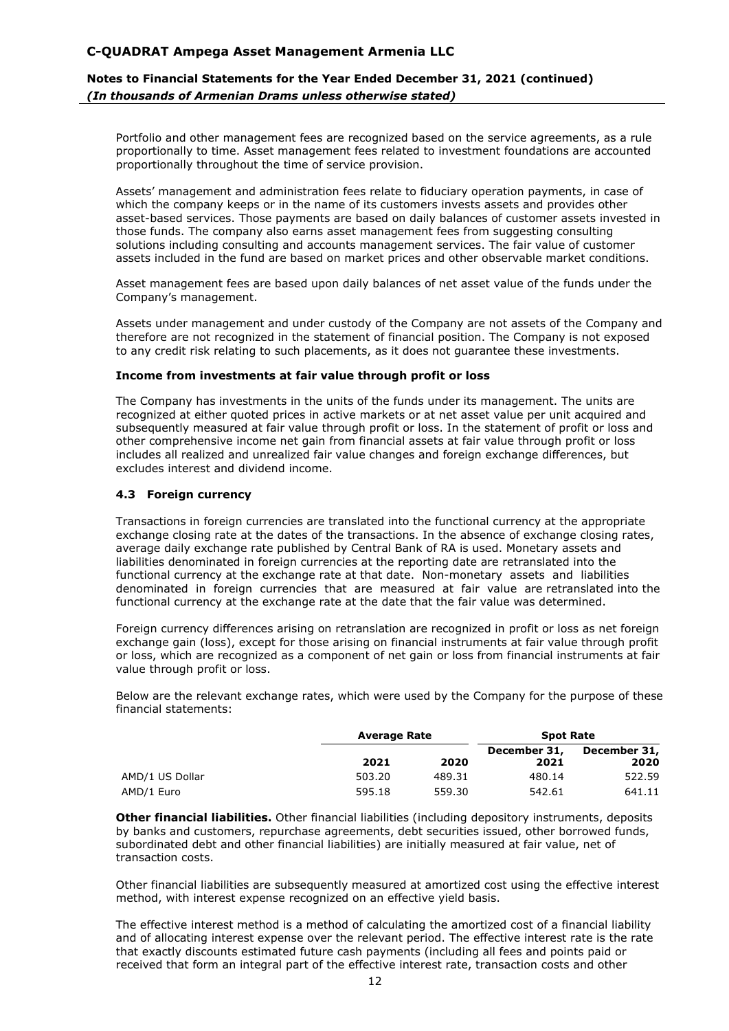# **Notes to Financial Statements for the Year Ended December 31, 2021 (continued)** *(In thousands of Armenian Drams unless otherwise stated)*

Portfolio and other management fees are recognized based on the service agreements, as a rule proportionally to time. Asset management fees related to investment foundations are accounted proportionally throughout the time of service provision.

Assets' management and administration fees relate to fiduciary operation payments, in case of which the company keeps or in the name of its customers invests assets and provides other asset-based services. Those payments are based on daily balances of customer assets invested in those funds. The company also earns asset management fees from suggesting consulting solutions including consulting and accounts management services. The fair value of customer assets included in the fund are based on market prices and other observable market conditions.

Asset management fees are based upon daily balances of net asset value of the funds under the Company's management.

Assets under management and under custody of the Company are not assets of the Company and therefore are not recognized in the statement of financial position. The Company is not exposed to any credit risk relating to such placements, as it does not guarantee these investments.

#### **Income from investments at fair value through profit or loss**

The Company has investments in the units of the funds under its management. The units are recognized at either quoted prices in active markets or at net asset value per unit acquired and subsequently measured at fair value through profit or loss. In the statement of profit or loss and other comprehensive income net gain from financial assets at fair value through profit or loss includes all realized and unrealized fair value changes and foreign exchange differences, but excludes interest and dividend income.

### **4.3 Foreign currency**

Transactions in foreign currencies are translated into the functional currency at the appropriate exchange closing rate at the dates of the transactions. In the absence of exchange closing rates, average daily exchange rate published by Central Bank of RA is used. Monetary assets and liabilities denominated in foreign currencies at the reporting date are retranslated into the functional currency at the exchange rate at that date. Non-monetary assets and liabilities denominated in foreign currencies that are measured at fair value are retranslated into the functional currency at the exchange rate at the date that the fair value was determined.

Foreign currency differences arising on retranslation are recognized in profit or loss as net foreign exchange gain (loss), except for those arising on financial instruments at fair value through profit or loss, which are recognized as a component of net gain or loss from financial instruments at fair value through profit or loss.

Below are the relevant exchange rates, which were used by the Company for the purpose of these financial statements:

|                 | <b>Average Rate</b> |        | <b>Spot Rate</b>     |                      |
|-----------------|---------------------|--------|----------------------|----------------------|
|                 | 2021                | 2020   | December 31,<br>2021 | December 31,<br>2020 |
| AMD/1 US Dollar | 503.20              | 489.31 | 480.14               | 522.59               |
| AMD/1 Euro      | 595.18              | 559.30 | 542.61               | 641.11               |

**Other financial liabilities.** Other financial liabilities (including depository instruments, deposits by banks and customers, repurchase agreements, debt securities issued, other borrowed funds, subordinated debt and other financial liabilities) are initially measured at fair value, net of transaction costs.

Other financial liabilities are subsequently measured at amortized cost using the effective interest method, with interest expense recognized on an effective yield basis.

The effective interest method is a method of calculating the amortized cost of a financial liability and of allocating interest expense over the relevant period. The effective interest rate is the rate that exactly discounts estimated future cash payments (including all fees and points paid or received that form an integral part of the effective interest rate, transaction costs and other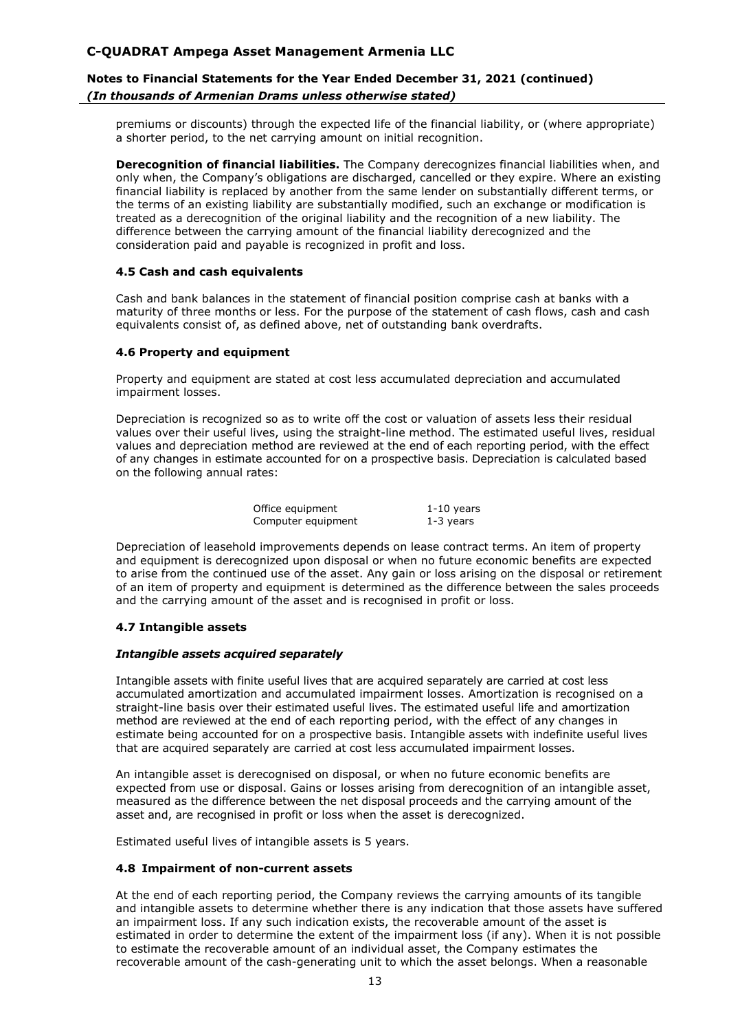## **Notes to Financial Statements for the Year Ended December 31, 2021 (continued)** *(In thousands of Armenian Drams unless otherwise stated)*

premiums or discounts) through the expected life of the financial liability, or (where appropriate) a shorter period, to the net carrying amount on initial recognition.

**Derecognition of financial liabilities.** The Company derecognizes financial liabilities when, and only when, the Company's obligations are discharged, cancelled or they expire. Where an existing financial liability is replaced by another from the same lender on substantially different terms, or the terms of an existing liability are substantially modified, such an exchange or modification is treated as a derecognition of the original liability and the recognition of a new liability. The difference between the carrying amount of the financial liability derecognized and the consideration paid and payable is recognized in profit and loss.

### **4.5 Cash and cash equivalents**

Cash and bank balances in the statement of financial position comprise cash at banks with a maturity of three months or less. For the purpose of the statement of cash flows, cash and cash equivalents consist of, as defined above, net of outstanding bank overdrafts.

### **4.6 Property and equipment**

Property and equipment are stated at cost less accumulated depreciation and accumulated impairment losses.

Depreciation is recognized so as to write off the cost or valuation of assets less their residual values over their useful lives, using the straight-line method. The estimated useful lives, residual values and depreciation method are reviewed at the end of each reporting period, with the effect of any changes in estimate accounted for on a prospective basis. Depreciation is calculated based on the following annual rates:

| Office equipment   | $1-10$ years |
|--------------------|--------------|
| Computer equipment | 1-3 years    |

Depreciation of leasehold improvements depends on lease contract terms. An item of property and equipment is derecognized upon disposal or when no future economic benefits are expected to arise from the continued use of the asset. Any gain or loss arising on the disposal or retirement of an item of property and equipment is determined as the difference between the sales proceeds and the carrying amount of the asset and is recognised in profit or loss.

### **4.7 Intangible assets**

### *Intangible assets acquired separately*

Intangible assets with finite useful lives that are acquired separately are carried at cost less accumulated amortization and accumulated impairment losses. Amortization is recognised on a straight-line basis over their estimated useful lives. The estimated useful life and amortization method are reviewed at the end of each reporting period, with the effect of any changes in estimate being accounted for on a prospective basis. Intangible assets with indefinite useful lives that are acquired separately are carried at cost less accumulated impairment losses.

An intangible asset is derecognised on disposal, or when no future economic benefits are expected from use or disposal. Gains or losses arising from derecognition of an intangible asset, measured as the difference between the net disposal proceeds and the carrying amount of the asset and, are recognised in profit or loss when the asset is derecognized.

Estimated useful lives of intangible assets is 5 years.

### **4.8 Impairment of non-current assets**

At the end of each reporting period, the Company reviews the carrying amounts of its tangible and intangible assets to determine whether there is any indication that those assets have suffered an impairment loss. If any such indication exists, the recoverable amount of the asset is estimated in order to determine the extent of the impairment loss (if any). When it is not possible to estimate the recoverable amount of an individual asset, the Company estimates the recoverable amount of the cash-generating unit to which the asset belongs. When a reasonable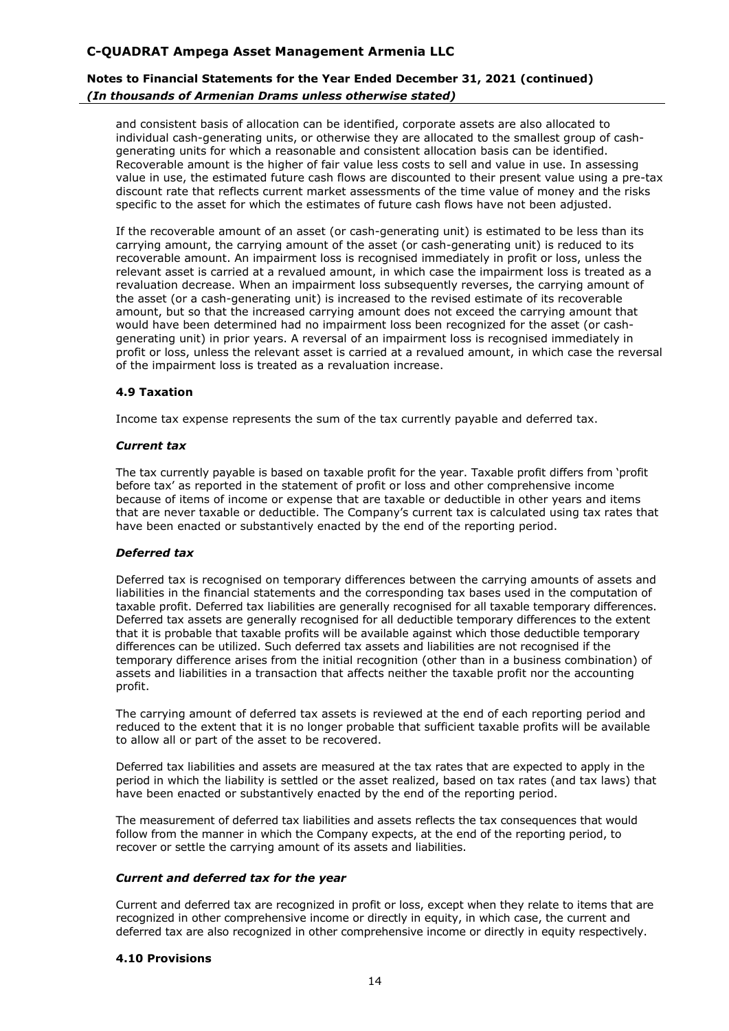# **Notes to Financial Statements for the Year Ended December 31, 2021 (continued)** *(In thousands of Armenian Drams unless otherwise stated)*

and consistent basis of allocation can be identified, corporate assets are also allocated to individual cash-generating units, or otherwise they are allocated to the smallest group of cashgenerating units for which a reasonable and consistent allocation basis can be identified. Recoverable amount is the higher of fair value less costs to sell and value in use. In assessing value in use, the estimated future cash flows are discounted to their present value using a pre-tax discount rate that reflects current market assessments of the time value of money and the risks specific to the asset for which the estimates of future cash flows have not been adjusted.

If the recoverable amount of an asset (or cash-generating unit) is estimated to be less than its carrying amount, the carrying amount of the asset (or cash-generating unit) is reduced to its recoverable amount. An impairment loss is recognised immediately in profit or loss, unless the relevant asset is carried at a revalued amount, in which case the impairment loss is treated as a revaluation decrease. When an impairment loss subsequently reverses, the carrying amount of the asset (or a cash-generating unit) is increased to the revised estimate of its recoverable amount, but so that the increased carrying amount does not exceed the carrying amount that would have been determined had no impairment loss been recognized for the asset (or cashgenerating unit) in prior years. A reversal of an impairment loss is recognised immediately in profit or loss, unless the relevant asset is carried at a revalued amount, in which case the reversal of the impairment loss is treated as a revaluation increase.

### **4.9 Taxation**

Income tax expense represents the sum of the tax currently payable and deferred tax.

### *Current tax*

The tax currently payable is based on taxable profit for the year. Taxable profit differs from 'profit before tax' as reported in the statement of profit or loss and other comprehensive income because of items of income or expense that are taxable or deductible in other years and items that are never taxable or deductible. The Company's current tax is calculated using tax rates that have been enacted or substantively enacted by the end of the reporting period.

### *Deferred tax*

Deferred tax is recognised on temporary differences between the carrying amounts of assets and liabilities in the financial statements and the corresponding tax bases used in the computation of taxable profit. Deferred tax liabilities are generally recognised for all taxable temporary differences. Deferred tax assets are generally recognised for all deductible temporary differences to the extent that it is probable that taxable profits will be available against which those deductible temporary differences can be utilized. Such deferred tax assets and liabilities are not recognised if the temporary difference arises from the initial recognition (other than in a business combination) of assets and liabilities in a transaction that affects neither the taxable profit nor the accounting profit.

The carrying amount of deferred tax assets is reviewed at the end of each reporting period and reduced to the extent that it is no longer probable that sufficient taxable profits will be available to allow all or part of the asset to be recovered.

Deferred tax liabilities and assets are measured at the tax rates that are expected to apply in the period in which the liability is settled or the asset realized, based on tax rates (and tax laws) that have been enacted or substantively enacted by the end of the reporting period.

The measurement of deferred tax liabilities and assets reflects the tax consequences that would follow from the manner in which the Company expects, at the end of the reporting period, to recover or settle the carrying amount of its assets and liabilities.

### *Current and deferred tax for the year*

Current and deferred tax are recognized in profit or loss, except when they relate to items that are recognized in other comprehensive income or directly in equity, in which case, the current and deferred tax are also recognized in other comprehensive income or directly in equity respectively.

### **4.10 Provisions**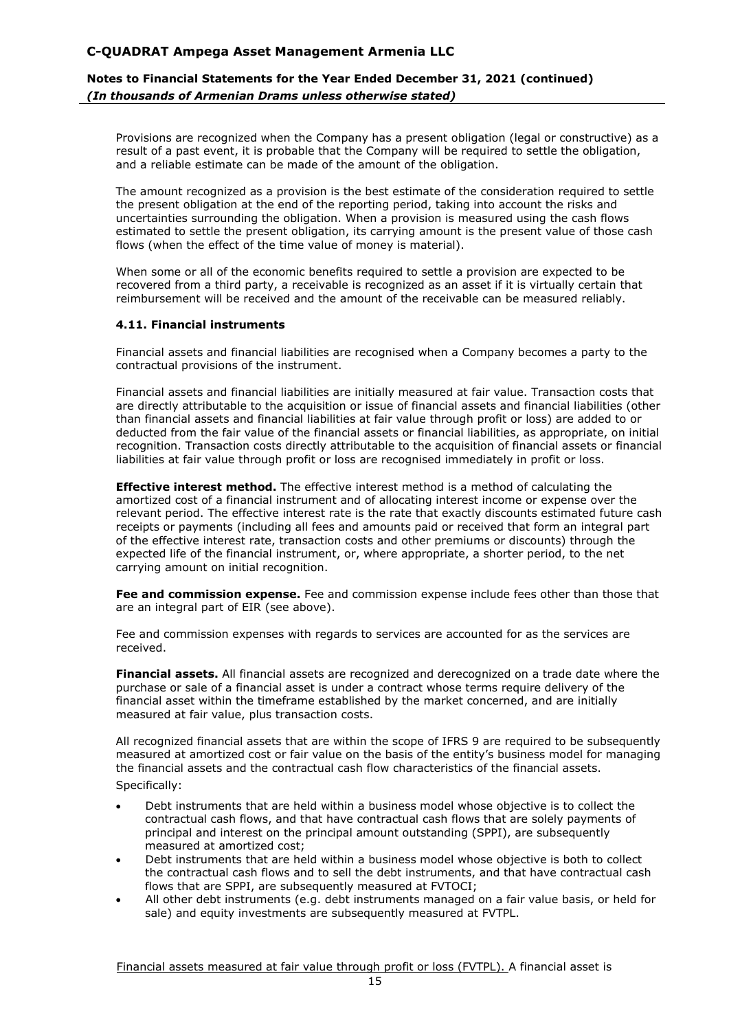# **Notes to Financial Statements for the Year Ended December 31, 2021 (continued)** *(In thousands of Armenian Drams unless otherwise stated)*

Provisions are recognized when the Company has a present obligation (legal or constructive) as a result of a past event, it is probable that the Company will be required to settle the obligation, and a reliable estimate can be made of the amount of the obligation.

The amount recognized as a provision is the best estimate of the consideration required to settle the present obligation at the end of the reporting period, taking into account the risks and uncertainties surrounding the obligation. When a provision is measured using the cash flows estimated to settle the present obligation, its carrying amount is the present value of those cash flows (when the effect of the time value of money is material).

When some or all of the economic benefits required to settle a provision are expected to be recovered from a third party, a receivable is recognized as an asset if it is virtually certain that reimbursement will be received and the amount of the receivable can be measured reliably.

### **4.11. Financial instruments**

Financial assets and financial liabilities are recognised when a Company becomes a party to the contractual provisions of the instrument.

Financial assets and financial liabilities are initially measured at fair value. Transaction costs that are directly attributable to the acquisition or issue of financial assets and financial liabilities (other than financial assets and financial liabilities at fair value through profit or loss) are added to or deducted from the fair value of the financial assets or financial liabilities, as appropriate, on initial recognition. Transaction costs directly attributable to the acquisition of financial assets or financial liabilities at fair value through profit or loss are recognised immediately in profit or loss.

**Effective interest method.** The effective interest method is a method of calculating the amortized cost of a financial instrument and of allocating interest income or expense over the relevant period. The effective interest rate is the rate that exactly discounts estimated future cash receipts or payments (including all fees and amounts paid or received that form an integral part of the effective interest rate, transaction costs and other premiums or discounts) through the expected life of the financial instrument, or, where appropriate, a shorter period, to the net carrying amount on initial recognition.

Fee and commission expense. Fee and commission expense include fees other than those that are an integral part of EIR (see above).

Fee and commission expenses with regards to services are accounted for as the services are received.

**Financial assets.** All financial assets are recognized and derecognized on a trade date where the purchase or sale of a financial asset is under a contract whose terms require delivery of the financial asset within the timeframe established by the market concerned, and are initially measured at fair value, plus transaction costs.

All recognized financial assets that are within the scope of IFRS 9 are required to be subsequently measured at amortized cost or fair value on the basis of the entity's business model for managing the financial assets and the contractual cash flow characteristics of the financial assets. Specifically:

- Debt instruments that are held within a business model whose objective is to collect the contractual cash flows, and that have contractual cash flows that are solely payments of principal and interest on the principal amount outstanding (SPPI), are subsequently measured at amortized cost;
- Debt instruments that are held within a business model whose objective is both to collect the contractual cash flows and to sell the debt instruments, and that have contractual cash flows that are SPPI, are subsequently measured at FVTOCI;
- All other debt instruments (e.g. debt instruments managed on a fair value basis, or held for sale) and equity investments are subsequently measured at FVTPL.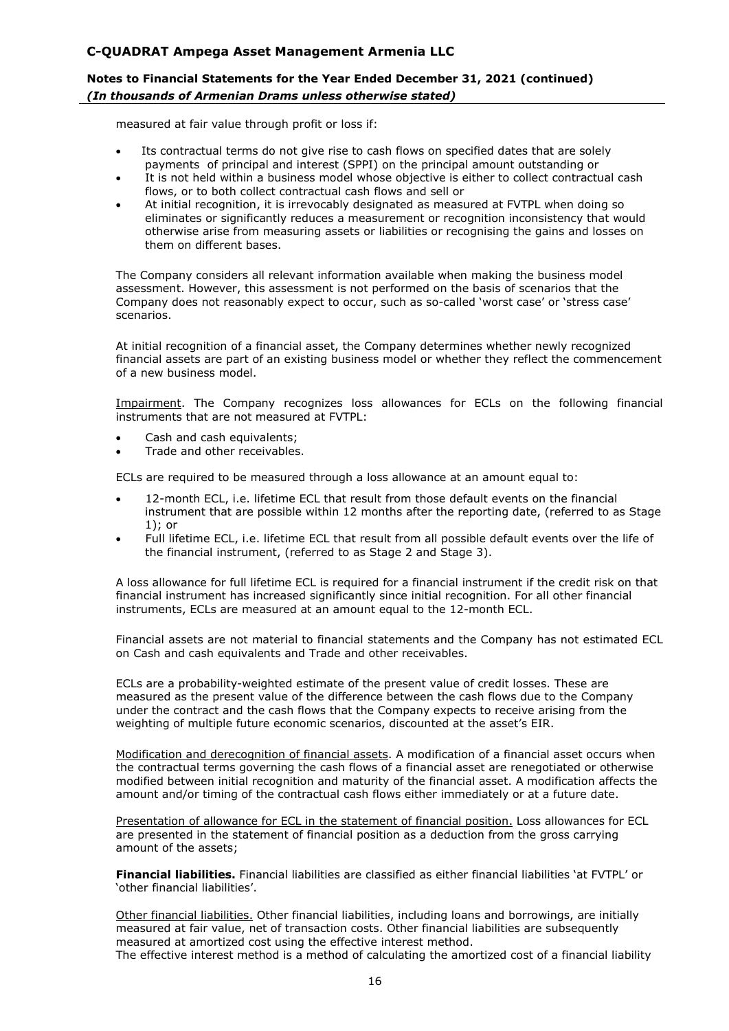### **Notes to Financial Statements for the Year Ended December 31, 2021 (continued)** *(In thousands of Armenian Drams unless otherwise stated)*

measured at fair value through profit or loss if:

- Its contractual terms do not give rise to cash flows on specified dates that are solely payments of principal and interest (SPPI) on the principal amount outstanding or
- It is not held within a business model whose objective is either to collect contractual cash flows, or to both collect contractual cash flows and sell or
- At initial recognition, it is irrevocably designated as measured at FVTPL when doing so eliminates or significantly reduces a measurement or recognition inconsistency that would otherwise arise from measuring assets or liabilities or recognising the gains and losses on them on different bases.

The Company considers all relevant information available when making the business model assessment. However, this assessment is not performed on the basis of scenarios that the Company does not reasonably expect to occur, such as so-called 'worst case' or 'stress case' scenarios.

At initial recognition of a financial asset, the Company determines whether newly recognized financial assets are part of an existing business model or whether they reflect the commencement of a new business model.

Impairment. The Company recognizes loss allowances for ECLs on the following financial instruments that are not measured at FVTPL:

- Cash and cash equivalents;
- Trade and other receivables.

ECLs are required to be measured through a loss allowance at an amount equal to:

- 12-month ECL, i.e. lifetime ECL that result from those default events on the financial instrument that are possible within 12 months after the reporting date, (referred to as Stage 1); or
- Full lifetime ECL, i.e. lifetime ECL that result from all possible default events over the life of the financial instrument, (referred to as Stage 2 and Stage 3).

A loss allowance for full lifetime ECL is required for a financial instrument if the credit risk on that financial instrument has increased significantly since initial recognition. For all other financial instruments, ECLs are measured at an amount equal to the 12-month ECL.

Financial assets are not material to financial statements and the Company has not estimated ECL on Cash and cash equivalents and Trade and other receivables.

ECLs are a probability-weighted estimate of the present value of credit losses. These are measured as the present value of the difference between the cash flows due to the Company under the contract and the cash flows that the Company expects to receive arising from the weighting of multiple future economic scenarios, discounted at the asset's EIR.

Modification and derecognition of financial assets. A modification of a financial asset occurs when the contractual terms governing the cash flows of a financial asset are renegotiated or otherwise modified between initial recognition and maturity of the financial asset. A modification affects the amount and/or timing of the contractual cash flows either immediately or at a future date.

Presentation of allowance for ECL in the statement of financial position. Loss allowances for ECL are presented in the statement of financial position as a deduction from the gross carrying amount of the assets;

**Financial liabilities.** Financial liabilities are classified as either financial liabilities 'at FVTPL' or 'other financial liabilities'.

Other financial liabilities. Other financial liabilities, including loans and borrowings, are initially measured at fair value, net of transaction costs. Other financial liabilities are subsequently measured at amortized cost using the effective interest method. The effective interest method is a method of calculating the amortized cost of a financial liability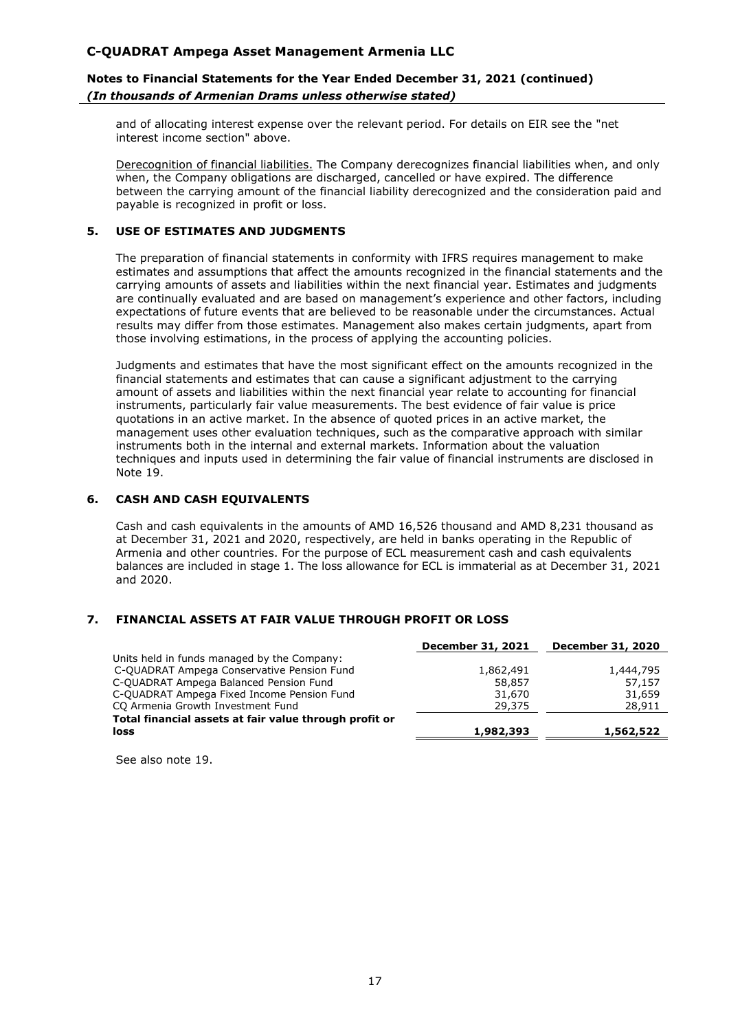### **Notes to Financial Statements for the Year Ended December 31, 2021 (continued)** *(In thousands of Armenian Drams unless otherwise stated)*

and of allocating interest expense over the relevant period. For details on EIR see the "net interest income section" above.

Derecognition of financial liabilities. The Company derecognizes financial liabilities when, and only when, the Company obligations are discharged, cancelled or have expired. The difference between the carrying amount of the financial liability derecognized and the consideration paid and payable is recognized in profit or loss.

### <span id="page-18-0"></span>**5. USE OF ESTIMATES AND JUDGMENTS**

The preparation of financial statements in conformity with IFRS requires management to make estimates and assumptions that affect the amounts recognized in the financial statements and the carrying amounts of assets and liabilities within the next financial year. Estimates and judgments are continually evaluated and are based on management's experience and other factors, including expectations of future events that are believed to be reasonable under the circumstances. Actual results may differ from those estimates. Management also makes certain judgments, apart from those involving estimations, in the process of applying the accounting policies.

Judgments and estimates that have the most significant effect on the amounts recognized in the financial statements and estimates that can cause a significant adjustment to the carrying amount of assets and liabilities within the next financial year relate to accounting for financial instruments, particularly fair value measurements. The best evidence of fair value is price quotations in an active market. In the absence of quoted prices in an active market, the management uses other evaluation techniques, such as the comparative approach with similar instruments both in the internal and external markets. Information about the valuation techniques and inputs used in determining the fair value of financial instruments are disclosed in Note 19.

### <span id="page-18-1"></span>**6. CASH AND CASH EQUIVALENTS**

Cash and cash equivalents in the amounts of AMD 16,526 thousand and AMD 8,231 thousand as at December 31, 2021 and 2020, respectively, are held in banks operating in the Republic of Armenia and other countries. For the purpose of ECL measurement cash and cash equivalents balances are included in stage 1. The loss allowance for ECL is immaterial as at December 31, 2021 and 2020.

### <span id="page-18-2"></span>**7. FINANCIAL ASSETS AT FAIR VALUE THROUGH PROFIT OR LOSS**

|                                                        | <b>December 31, 2021</b> | <b>December 31, 2020</b> |
|--------------------------------------------------------|--------------------------|--------------------------|
| Units held in funds managed by the Company:            |                          |                          |
| C-QUADRAT Ampega Conservative Pension Fund             | 1,862,491                | 1,444,795                |
| C-QUADRAT Ampega Balanced Pension Fund                 | 58,857                   | 57,157                   |
| C-QUADRAT Ampega Fixed Income Pension Fund             | 31,670                   | 31,659                   |
| CQ Armenia Growth Investment Fund                      | 29,375                   | 28,911                   |
| Total financial assets at fair value through profit or |                          |                          |
| loss                                                   | 1,982,393                | 1,562,522                |

See also note 19.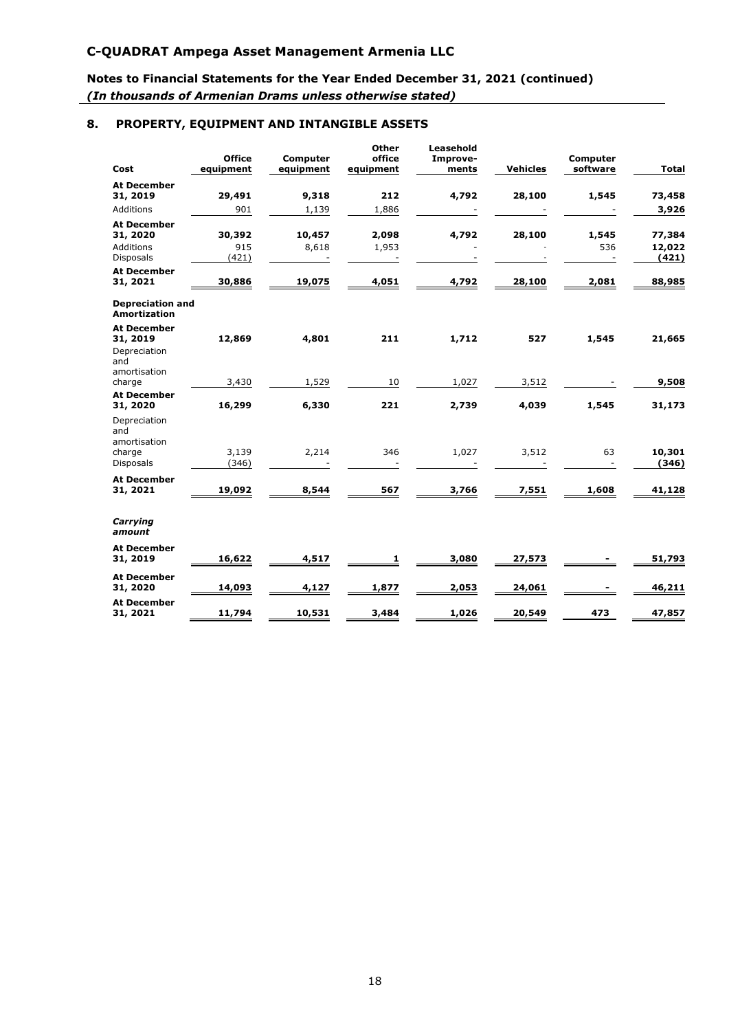**Notes to Financial Statements for the Year Ended December 31, 2021 (continued)** *(In thousands of Armenian Drams unless otherwise stated)* 

# <span id="page-19-0"></span>**8. PROPERTY, EQUIPMENT AND INTANGIBLE ASSETS**

| Cost                                                  | <b>Office</b><br>equipment | <b>Computer</b><br>equipment | Other<br>office<br>equipment | Leasehold<br>Improve-<br>ments | <b>Vehicles</b> | Computer<br>software | <b>Total</b>    |
|-------------------------------------------------------|----------------------------|------------------------------|------------------------------|--------------------------------|-----------------|----------------------|-----------------|
| <b>At December</b>                                    |                            |                              |                              |                                |                 |                      |                 |
| 31, 2019                                              | 29,491                     | 9,318                        | 212                          | 4,792                          | 28,100          | 1,545                | 73,458          |
| Additions                                             | 901                        | 1,139                        | 1,886                        |                                |                 |                      | 3,926           |
| <b>At December</b><br>31, 2020<br><b>Additions</b>    | 30,392<br>915              | 10,457                       | 2,098                        | 4,792                          | 28,100          | 1,545<br>536         | 77,384          |
| <b>Disposals</b>                                      | (421)                      | 8,618                        | 1,953                        |                                |                 |                      | 12,022<br>(421) |
| <b>At December</b><br>31, 2021                        | 30,886                     | 19,075                       | 4,051                        | 4,792                          | 28,100          | 2,081                | 88,985          |
| <b>Depreciation and</b><br><b>Amortization</b>        |                            |                              |                              |                                |                 |                      |                 |
| <b>At December</b><br>31, 2019<br>Depreciation<br>and | 12,869                     | 4,801                        | 211                          | 1,712                          | 527             | 1,545                | 21,665          |
| amortisation<br>charge                                | 3,430                      | 1,529                        | 10                           | 1,027                          | 3,512           |                      | 9,508           |
| <b>At December</b><br>31, 2020                        | 16,299                     | 6,330                        | 221                          | 2,739                          | 4,039           | 1,545                | 31,173          |
| Depreciation<br>and<br>amortisation                   |                            |                              |                              |                                |                 |                      |                 |
| charge<br>Disposals                                   | 3,139<br>(346)             | 2,214                        | 346                          | 1,027                          | 3,512           | 63                   | 10,301<br>(346) |
| <b>At December</b><br>31, 2021                        | 19,092                     | 8,544                        | 567                          | 3,766                          | 7,551           | 1,608                | 41,128          |
| Carrying<br>amount                                    |                            |                              |                              |                                |                 |                      |                 |
| <b>At December</b><br>31, 2019                        | 16,622                     | 4,517                        | 1                            | 3,080                          | 27,573          |                      | 51,793          |
| <b>At December</b><br>31, 2020                        | 14,093                     | 4,127                        | 1,877                        | 2,053                          | 24,061          |                      | 46,211          |
| <b>At December</b><br>31, 2021                        | 11,794                     | 10,531                       | 3,484                        | 1,026                          | 20,549          | 473                  | 47,857          |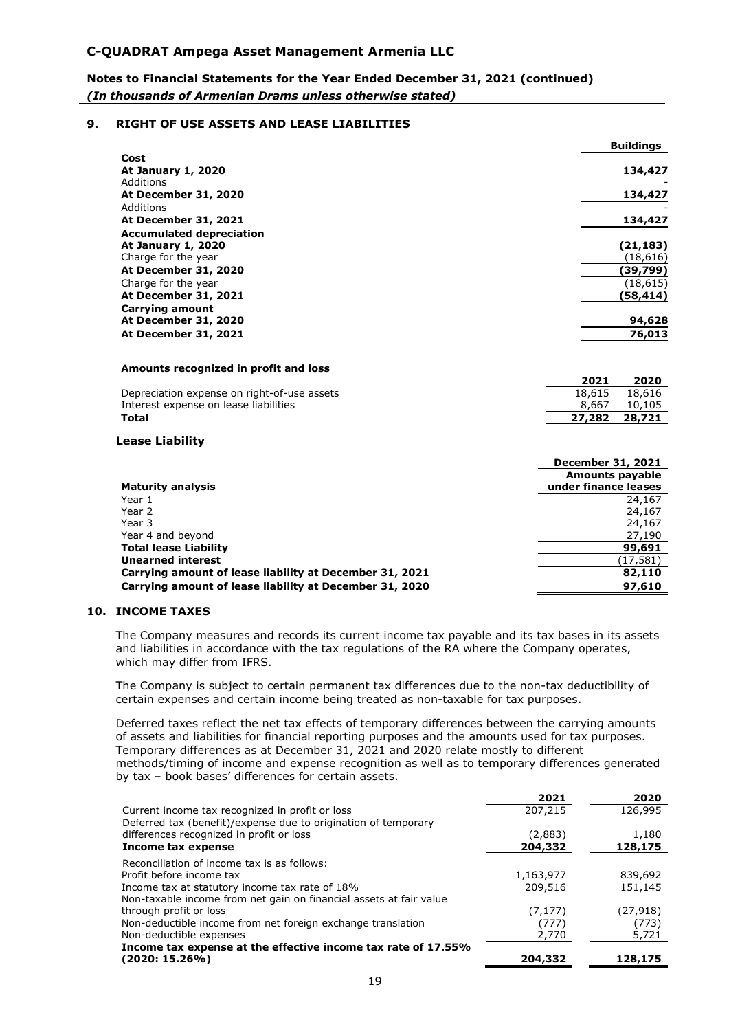# **Notes to Financial Statements for the Year Ended December 31, 2021 (continued)** *(In thousands of Armenian Drams unless otherwise stated)*

### <span id="page-20-0"></span>**9. RIGHT OF USE ASSETS AND LEASE LIABILITIES**

| 134,427   |
|-----------|
|           |
| 134,427   |
|           |
| 134,427   |
|           |
| (21, 183) |
| (18, 616) |
| (39,799)  |
| (18, 615) |
| (58,414)  |
|           |
| 94,628    |
| 76,013    |
|           |

#### **Amounts recognized in profit and loss**

|                                             | ----   | ----   |
|---------------------------------------------|--------|--------|
| Depreciation expense on right-of-use assets | 18,615 | 18.616 |
| Interest expense on lease liabilities       | 8.667  | 10,105 |
| Total                                       | 27,282 | 28,721 |
|                                             |        |        |

**2021 2020**

#### **Lease Liability**

|                                                         | <b>December 31, 2021</b> |
|---------------------------------------------------------|--------------------------|
|                                                         | <b>Amounts payable</b>   |
| <b>Maturity analysis</b>                                | under finance leases     |
| Year 1                                                  | 24,167                   |
| Year 2                                                  | 24,167                   |
| Year 3                                                  | 24,167                   |
| Year 4 and beyond                                       | 27,190                   |
| <b>Total lease Liability</b>                            | 99,691                   |
| <b>Unearned interest</b>                                | (17,581)                 |
| Carrying amount of lease liability at December 31, 2021 | 82,110                   |
| Carrying amount of lease liability at December 31, 2020 | 97,610                   |

### <span id="page-20-1"></span>**10. INCOME TAXES**

The Company measures and records its current income tax payable and its tax bases in its assets and liabilities in accordance with the tax regulations of the RA where the Company operates, which may differ from IFRS.

The Company is subject to certain permanent tax differences due to the non-tax deductibility of certain expenses and certain income being treated as non-taxable for tax purposes.

Deferred taxes reflect the net tax effects of temporary differences between the carrying amounts of assets and liabilities for financial reporting purposes and the amounts used for tax purposes. Temporary differences as at December 31, 2021 and 2020 relate mostly to different methods/timing of income and expense recognition as well as to temporary differences generated by tax – book bases' differences for certain assets.

|                                                                    | 2021      | 2020      |
|--------------------------------------------------------------------|-----------|-----------|
| Current income tax recognized in profit or loss                    | 207,215   | 126,995   |
| Deferred tax (benefit)/expense due to origination of temporary     |           |           |
| differences recognized in profit or loss                           | (2,883)   | 1,180     |
| Income tax expense                                                 | 204,332   | 128,175   |
| Reconciliation of income tax is as follows:                        |           |           |
| Profit before income tax                                           | 1,163,977 | 839,692   |
| Income tax at statutory income tax rate of 18%                     | 209,516   | 151,145   |
| Non-taxable income from net gain on financial assets at fair value |           |           |
| through profit or loss                                             | (7, 177)  | (27, 918) |
| Non-deductible income from net foreign exchange translation        | (777)     | (773)     |
| Non-deductible expenses                                            | 2,770     | 5.721     |
| Income tax expense at the effective income tax rate of 17.55%      |           |           |
| (2020:15.26%)                                                      | 204,332   | 128,175   |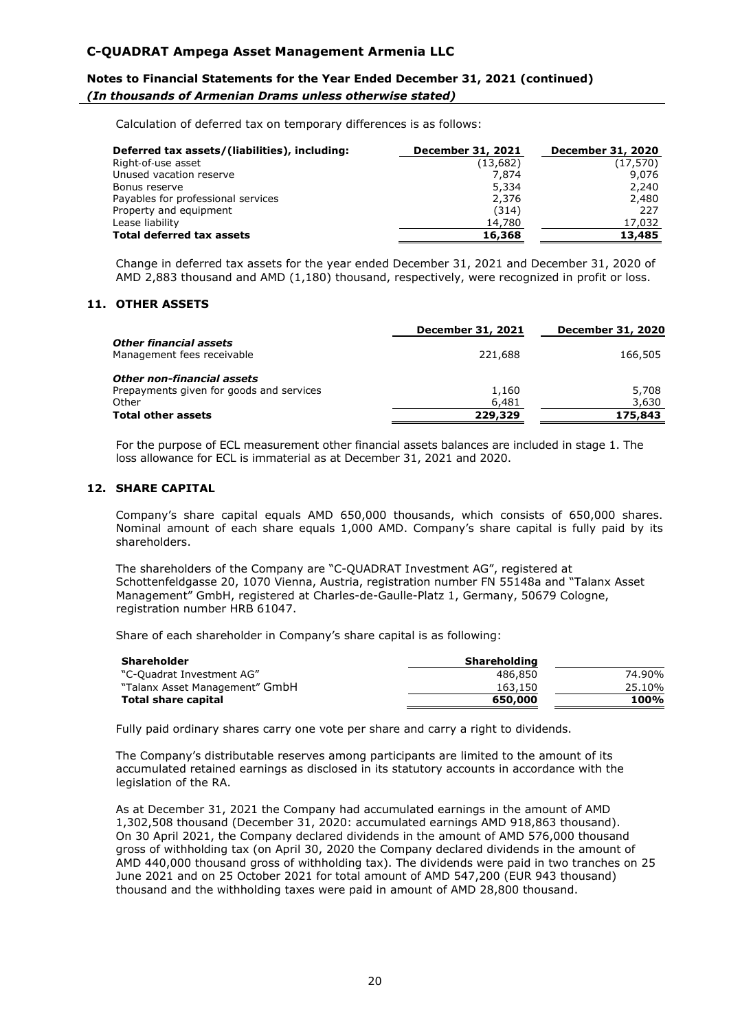### **Notes to Financial Statements for the Year Ended December 31, 2021 (continued)** *(In thousands of Armenian Drams unless otherwise stated)*

Calculation of deferred tax on temporary differences is as follows:

| Deferred tax assets/(liabilities), including: | December 31, 2021 | <b>December 31, 2020</b> |
|-----------------------------------------------|-------------------|--------------------------|
| Right-of-use asset                            | (13,682)          | (17, 570)                |
| Unused vacation reserve                       | 7.874             | 9.076                    |
| Bonus reserve                                 | 5,334             | 2,240                    |
| Payables for professional services            | 2,376             | 2,480                    |
| Property and equipment                        | (314)             | 227                      |
| Lease liability                               | 14,780            | 17,032                   |
| <b>Total deferred tax assets</b>              | 16,368            | 13,485                   |

Change in deferred tax assets for the year ended December 31, 2021 and December 31, 2020 of AMD 2,883 thousand and AMD (1,180) thousand, respectively, were recognized in profit or loss.

### <span id="page-21-0"></span>**11. OTHER ASSETS**

|                                          | December 31, 2021 | <b>December 31, 2020</b> |
|------------------------------------------|-------------------|--------------------------|
| <b>Other financial assets</b>            |                   |                          |
| Management fees receivable               | 221.688           | 166,505                  |
| <b>Other non-financial assets</b>        |                   |                          |
| Prepayments given for goods and services | 1,160             | 5,708                    |
| Other                                    | 6,481             | 3,630                    |
| <b>Total other assets</b>                | 229,329           | 175,843                  |

For the purpose of ECL measurement other financial assets balances are included in stage 1. The loss allowance for ECL is immaterial as at December 31, 2021 and 2020.

### <span id="page-21-1"></span>**12. SHARE CAPITAL**

Company's share capital equals AMD 650,000 thousands, which consists of 650,000 shares. Nominal amount of each share equals 1,000 AMD. Company's share capital is fully paid by its shareholders.

The shareholders of the Company are "C-QUADRAT Investment AG", registered at Schottenfeldgasse 20, 1070 Vienna, Austria, registration number FN 55148a and "Talanx Asset Management" GmbH, registered at Charles-de-Gaulle-Platz 1, Germany, 50679 Cologne, registration number HRB 61047.

Share of each shareholder in Company's share capital is as following:

| Shareholder                    | Shareholding |        |
|--------------------------------|--------------|--------|
| "C-Quadrat Investment AG"      | 486.850      | 74.90% |
| "Talanx Asset Management" GmbH | 163,150      | 25.10% |
| Total share capital            | 650,000      | 100%   |

Fully paid ordinary shares carry one vote per share and carry a right to dividends.

The Company's distributable reserves among participants are limited to the amount of its accumulated retained earnings as disclosed in its statutory accounts in accordance with the legislation of the RA.

As at December 31, 2021 the Company had accumulated earnings in the amount of AMD 1,302,508 thousand (December 31, 2020: accumulated earnings AMD 918,863 thousand). On 30 April 2021, the Company declared dividends in the amount of AMD 576,000 thousand gross of withholding tax (on April 30, 2020 the Company declared dividends in the amount of AMD 440,000 thousand gross of withholding tax). The dividends were paid in two tranches on 25 June 2021 and on 25 October 2021 for total amount of AMD 547,200 (EUR 943 thousand) thousand and the withholding taxes were paid in amount of AMD 28,800 thousand.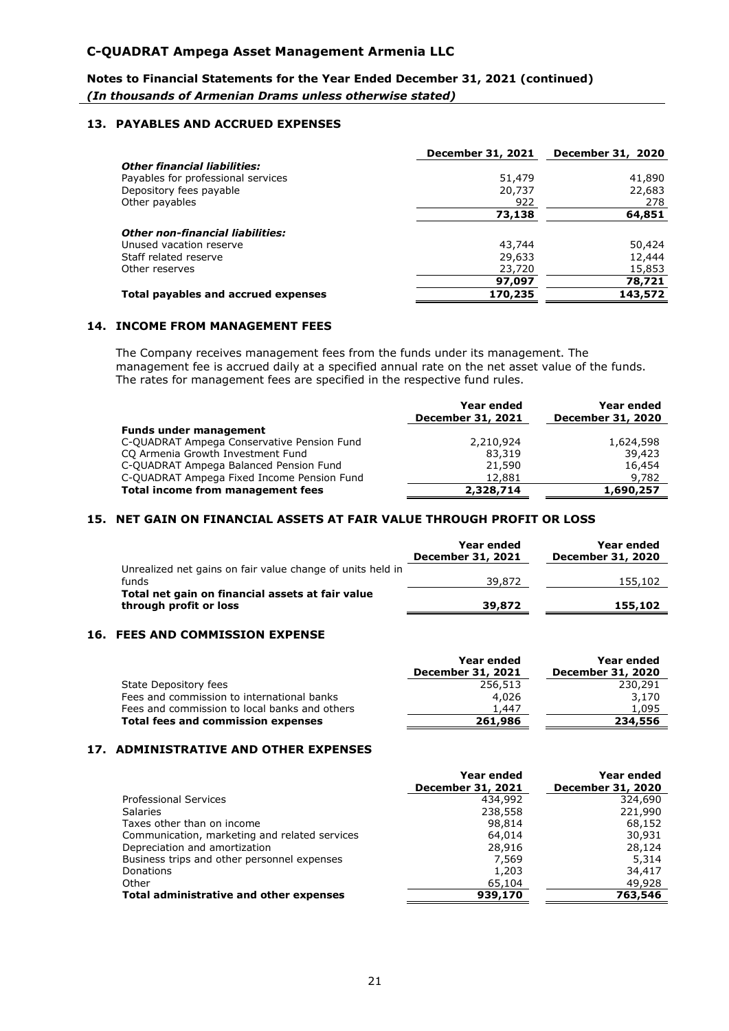# **Notes to Financial Statements for the Year Ended December 31, 2021 (continued)** *(In thousands of Armenian Drams unless otherwise stated)*

### <span id="page-22-0"></span>**13. PAYABLES AND ACCRUED EXPENSES**

|                                         | <b>December 31, 2021</b> | December 31, 2020 |
|-----------------------------------------|--------------------------|-------------------|
| <b>Other financial liabilities:</b>     |                          |                   |
| Payables for professional services      | 51,479                   | 41,890            |
| Depository fees payable                 | 20,737                   | 22,683            |
| Other payables                          | 922                      | 278               |
|                                         | 73,138                   | 64,851            |
| <b>Other non-financial liabilities:</b> |                          |                   |
| Unused vacation reserve                 | 43,744                   | 50,424            |
| Staff related reserve                   | 29,633                   | 12,444            |
| Other reserves                          | 23,720                   | 15,853            |
|                                         | 97,097                   | 78,721            |
| Total payables and accrued expenses     | 170,235                  | 143,572           |

#### <span id="page-22-1"></span>**14. INCOME FROM MANAGEMENT FEES**

The Company receives management fees from the funds under its management. The management fee is accrued daily at a specified annual rate on the net asset value of the funds. The rates for management fees are specified in the respective fund rules.

| <b>Year ended</b> | Year ended               |
|-------------------|--------------------------|
| December 31, 2021 | <b>December 31, 2020</b> |
|                   |                          |
| 2,210,924         | 1,624,598                |
| 83,319            | 39,423                   |
| 21,590            | 16,454                   |
| 12,881            | 9,782                    |
| 2,328,714         | 1,690,257                |
|                   |                          |

## <span id="page-22-2"></span>**15. NET GAIN ON FINANCIAL ASSETS AT FAIR VALUE THROUGH PROFIT OR LOSS**

|                                                            | Year ended<br><b>December 31, 2021</b> | Year ended<br><b>December 31, 2020</b> |
|------------------------------------------------------------|----------------------------------------|----------------------------------------|
| Unrealized net gains on fair value change of units held in |                                        |                                        |
| funds                                                      | 39,872                                 | 155,102                                |
| Total net gain on financial assets at fair value           |                                        |                                        |
| through profit or loss                                     | 39,872                                 | 155,102                                |

### <span id="page-22-3"></span>**16. FEES AND COMMISSION EXPENSE**

|                                               | Year ended        | Year ended               |
|-----------------------------------------------|-------------------|--------------------------|
|                                               | December 31, 2021 | <b>December 31, 2020</b> |
| State Depository fees                         | 256,513           | 230,291                  |
| Fees and commission to international banks    | 4,026             | 3,170                    |
| Fees and commission to local banks and others | 1,447             | 1.095                    |
| <b>Total fees and commission expenses</b>     | 261,986           | 234,556                  |

### <span id="page-22-4"></span>**17. ADMINISTRATIVE AND OTHER EXPENSES**

|                                               | Year ended        | Year ended               |
|-----------------------------------------------|-------------------|--------------------------|
|                                               | December 31, 2021 | <b>December 31, 2020</b> |
| <b>Professional Services</b>                  | 434,992           | 324,690                  |
| <b>Salaries</b>                               | 238,558           | 221,990                  |
| Taxes other than on income                    | 98,814            | 68,152                   |
| Communication, marketing and related services | 64,014            | 30,931                   |
| Depreciation and amortization                 | 28,916            | 28,124                   |
| Business trips and other personnel expenses   | 7,569             | 5,314                    |
| Donations                                     | 1,203             | 34,417                   |
| Other                                         | 65,104            | 49,928                   |
| Total administrative and other expenses       | 939,170           | 763,546                  |
|                                               |                   |                          |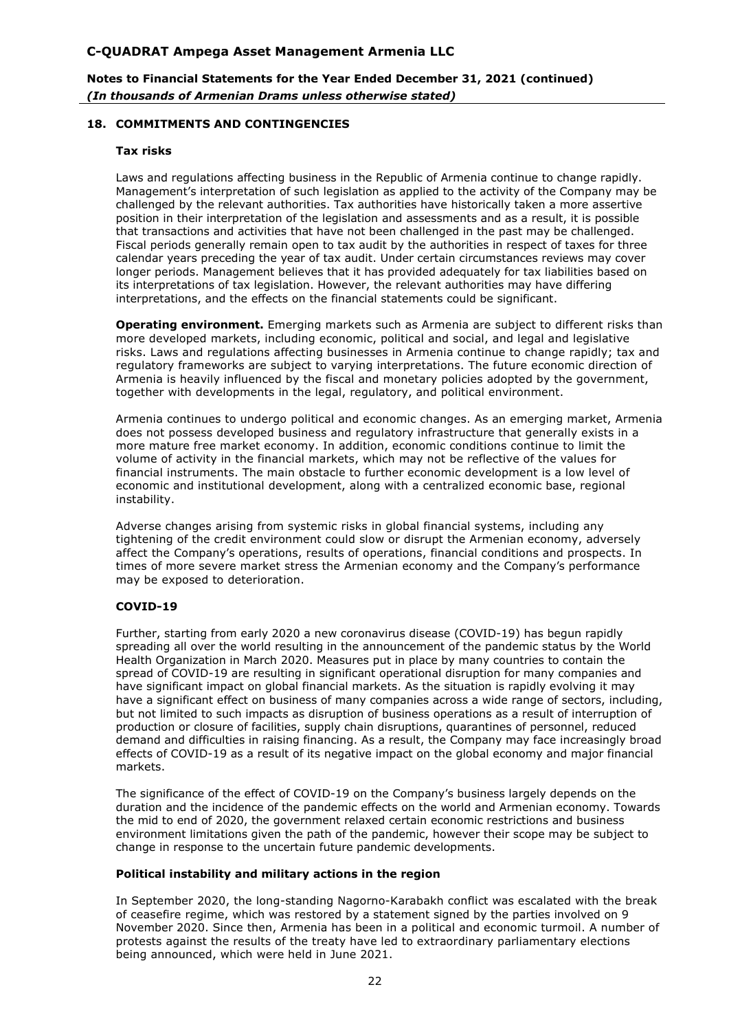# **Notes to Financial Statements for the Year Ended December 31, 2021 (continued)** *(In thousands of Armenian Drams unless otherwise stated)*

### <span id="page-23-0"></span>**18. COMMITMENTS AND CONTINGENCIES**

### **Tax risks**

Laws and regulations affecting business in the Republic of Armenia continue to change rapidly. Management's interpretation of such legislation as applied to the activity of the Company may be challenged by the relevant authorities. Tax authorities have historically taken a more assertive position in their interpretation of the legislation and assessments and as a result, it is possible that transactions and activities that have not been challenged in the past may be challenged. Fiscal periods generally remain open to tax audit by the authorities in respect of taxes for three calendar years preceding the year of tax audit. Under certain circumstances reviews may cover longer periods. Management believes that it has provided adequately for tax liabilities based on its interpretations of tax legislation. However, the relevant authorities may have differing interpretations, and the effects on the financial statements could be significant.

**Operating environment.** Emerging markets such as Armenia are subject to different risks than more developed markets, including economic, political and social, and legal and legislative risks. Laws and regulations affecting businesses in Armenia continue to change rapidly; tax and regulatory frameworks are subject to varying interpretations. The future economic direction of Armenia is heavily influenced by the fiscal and monetary policies adopted by the government, together with developments in the legal, regulatory, and political environment.

Armenia continues to undergo political and economic changes. As an emerging market, Armenia does not possess developed business and regulatory infrastructure that generally exists in a more mature free market economy. In addition, economic conditions continue to limit the volume of activity in the financial markets, which may not be reflective of the values for financial instruments. The main obstacle to further economic development is a low level of economic and institutional development, along with a centralized economic base, regional instability.

Adverse changes arising from systemic risks in global financial systems, including any tightening of the credit environment could slow or disrupt the Armenian economy, adversely affect the Company's operations, results of operations, financial conditions and prospects. In times of more severe market stress the Armenian economy and the Company's performance may be exposed to deterioration.

### **COVID-19**

Further, starting from early 2020 a new coronavirus disease (COVID-19) has begun rapidly spreading all over the world resulting in the announcement of the pandemic status by the World Health Organization in March 2020. Measures put in place by many countries to contain the spread of COVID-19 are resulting in significant operational disruption for many companies and have significant impact on global financial markets. As the situation is rapidly evolving it may have a significant effect on business of many companies across a wide range of sectors, including, but not limited to such impacts as disruption of business operations as a result of interruption of production or closure of facilities, supply chain disruptions, quarantines of personnel, reduced demand and difficulties in raising financing. As a result, the Company may face increasingly broad effects of COVID-19 as a result of its negative impact on the global economy and major financial markets.

The significance of the effect of COVID-19 on the Company's business largely depends on the duration and the incidence of the pandemic effects on the world and Armenian economy. Towards the mid to end of 2020, the government relaxed certain economic restrictions and business environment limitations given the path of the pandemic, however their scope may be subject to change in response to the uncertain future pandemic developments.

### **Political instability and military actions in the region**

In September 2020, the long-standing Nagorno-Karabakh conflict was escalated with the break of ceasefire regime, which was restored by a statement signed by the parties involved on 9 November 2020. Since then, Armenia has been in a political and economic turmoil. A number of protests against the results of the treaty have led to extraordinary parliamentary elections being announced, which were held in June 2021.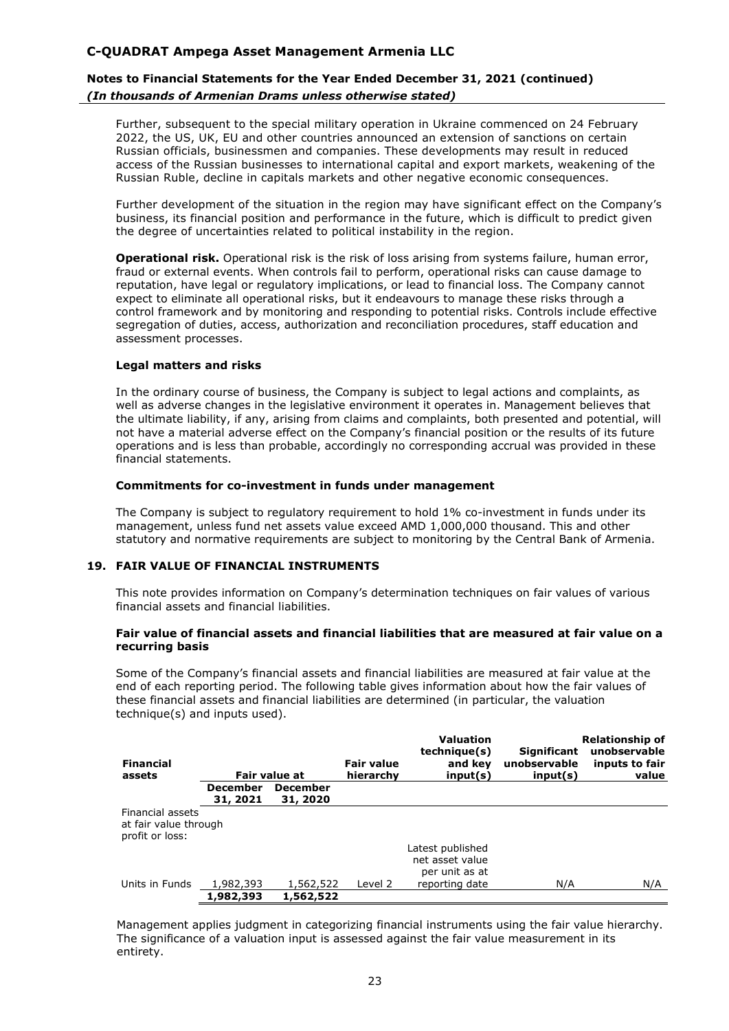## **Notes to Financial Statements for the Year Ended December 31, 2021 (continued)** *(In thousands of Armenian Drams unless otherwise stated)*

Further, subsequent to the special military operation in Ukraine commenced on 24 February 2022, the US, UK, EU and other countries announced an extension of sanctions on certain Russian officials, businessmen and companies. These developments may result in reduced access of the Russian businesses to international capital and export markets, weakening of the Russian Ruble, decline in capitals markets and other negative economic consequences.

Further development of the situation in the region may have significant effect on the Company's business, its financial position and performance in the future, which is difficult to predict given the degree of uncertainties related to political instability in the region.

**Operational risk.** Operational risk is the risk of loss arising from systems failure, human error, fraud or external events. When controls fail to perform, operational risks can cause damage to reputation, have legal or regulatory implications, or lead to financial loss. The Company cannot expect to eliminate all operational risks, but it endeavours to manage these risks through a control framework and by monitoring and responding to potential risks. Controls include effective segregation of duties, access, authorization and reconciliation procedures, staff education and assessment processes.

### **Legal matters and risks**

In the ordinary course of business, the Company is subject to legal actions and complaints, as well as adverse changes in the legislative environment it operates in. Management believes that the ultimate liability, if any, arising from claims and complaints, both presented and potential, will not have a material adverse effect on the Company's financial position or the results of its future operations and is less than probable, accordingly no corresponding accrual was provided in these financial statements.

### **Commitments for co-investment in funds under management**

The Company is subject to regulatory requirement to hold 1% co-investment in funds under its management, unless fund net assets value exceed AMD 1,000,000 thousand. This and other statutory and normative requirements are subject to monitoring by the Central Bank of Armenia.

### <span id="page-24-0"></span>**19. FAIR VALUE OF FINANCIAL INSTRUMENTS**

This note provides information on Company's determination techniques on fair values of various financial assets and financial liabilities.

### **Fair value of financial assets and financial liabilities that are measured at fair value on a recurring basis**

Some of the Company's financial assets and financial liabilities are measured at fair value at the end of each reporting period. The following table gives information about how the fair values of these financial assets and financial liabilities are determined (in particular, the valuation technique(s) and inputs used).

| <b>Financial</b><br>assets                                   |                 | Fair value at   | <b>Fair value</b><br>hierarchy | <b>Valuation</b><br>technique(s)<br>and key<br>input(s) | <b>Significant</b><br>unobservable<br>input(s) | <b>Relationship of</b><br>unobservable<br>inputs to fair<br>value |
|--------------------------------------------------------------|-----------------|-----------------|--------------------------------|---------------------------------------------------------|------------------------------------------------|-------------------------------------------------------------------|
|                                                              | <b>December</b> | <b>December</b> |                                |                                                         |                                                |                                                                   |
|                                                              | 31, 2021        | 31, 2020        |                                |                                                         |                                                |                                                                   |
| Financial assets<br>at fair value through<br>profit or loss: |                 |                 |                                |                                                         |                                                |                                                                   |
|                                                              |                 |                 |                                | Latest published                                        |                                                |                                                                   |
|                                                              |                 |                 |                                | net asset value                                         |                                                |                                                                   |
|                                                              |                 |                 |                                | per unit as at                                          |                                                |                                                                   |
| Units in Funds                                               | 1,982,393       | 1,562,522       | Level 2                        | reporting date                                          | N/A                                            | N/A                                                               |
|                                                              | 1,982,393       | 1,562,522       |                                |                                                         |                                                |                                                                   |

Management applies judgment in categorizing financial instruments using the fair value hierarchy. The significance of a valuation input is assessed against the fair value measurement in its entirety.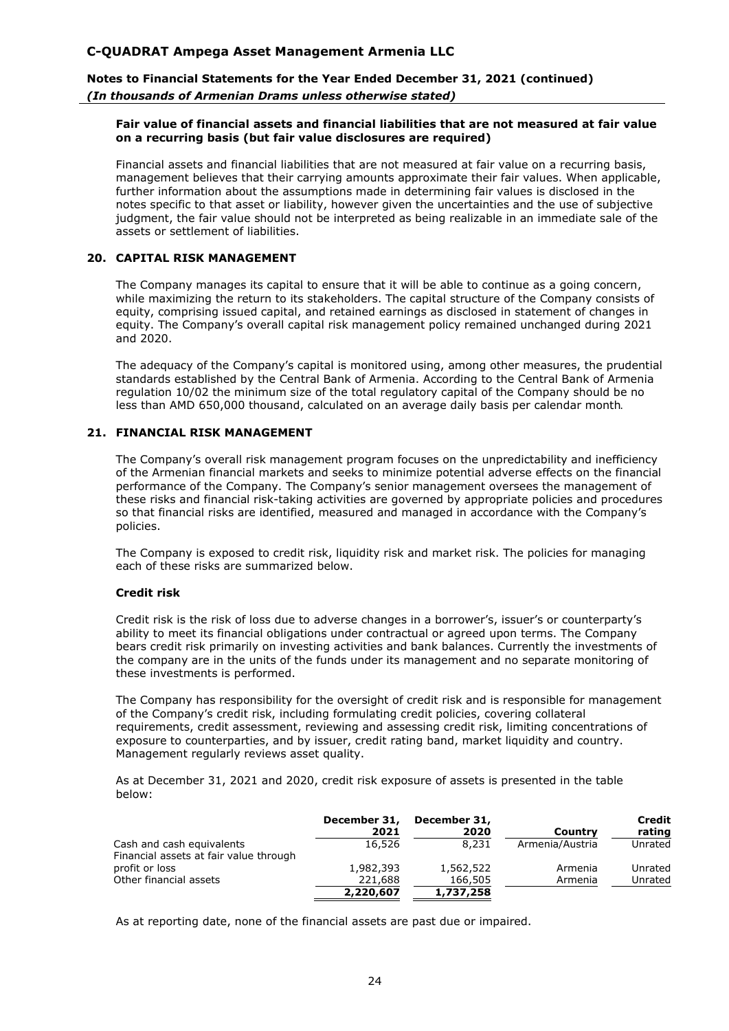## **Notes to Financial Statements for the Year Ended December 31, 2021 (continued)** *(In thousands of Armenian Drams unless otherwise stated)*

### **Fair value of financial assets and financial liabilities that are not measured at fair value on a recurring basis (but fair value disclosures are required)**

Financial assets and financial liabilities that are not measured at fair value on a recurring basis, management believes that their carrying amounts approximate their fair values. When applicable, further information about the assumptions made in determining fair values is disclosed in the notes specific to that asset or liability, however given the uncertainties and the use of subjective judgment, the fair value should not be interpreted as being realizable in an immediate sale of the assets or settlement of liabilities.

### <span id="page-25-0"></span>**20. CAPITAL RISK MANAGEMENT**

The Company manages its capital to ensure that it will be able to continue as a going concern, while maximizing the return to its stakeholders. The capital structure of the Company consists of equity, comprising issued capital, and retained earnings as disclosed in statement of changes in equity. The Company's overall capital risk management policy remained unchanged during 2021 and 2020.

The adequacy of the Company's capital is monitored using, among other measures, the prudential standards established by the Central Bank of Armenia. According to the Central Bank of Armenia regulation 10/02 the minimum size of the total regulatory capital of the Company should be no less than AMD 650,000 thousand, calculated on an average daily basis per calendar month․

### <span id="page-25-1"></span>**21. FINANCIAL RISK MANAGEMENT**

The Company's overall risk management program focuses on the unpredictability and inefficiency of the Armenian financial markets and seeks to minimize potential adverse effects on the financial performance of the Company. The Company's senior management oversees the management of these risks and financial risk-taking activities are governed by appropriate policies and procedures so that financial risks are identified, measured and managed in accordance with the Company's policies.

The Company is exposed to credit risk, liquidity risk and market risk. The policies for managing each of these risks are summarized below.

### **Credit risk**

Credit risk is the risk of loss due to adverse changes in a borrower's, issuer's or counterparty's ability to meet its financial obligations under contractual or agreed upon terms. The Company bears credit risk primarily on investing activities and bank balances. Currently the investments of the company are in the units of the funds under its management and no separate monitoring of these investments is performed.

The Company has responsibility for the oversight of credit risk and is responsible for management of the Company's credit risk, including formulating credit policies, covering collateral requirements, credit assessment, reviewing and assessing credit risk, limiting concentrations of exposure to counterparties, and by issuer, credit rating band, market liquidity and country. Management regularly reviews asset quality.

As at December 31, 2021 and 2020, credit risk exposure of assets is presented in the table below:

|                                        | December 31,<br>2021 | December 31,<br>2020 | Country         | <b>Credit</b><br>rating |
|----------------------------------------|----------------------|----------------------|-----------------|-------------------------|
| Cash and cash equivalents              | 16,526               | 8,231                | Armenia/Austria | Unrated                 |
| Financial assets at fair value through |                      |                      |                 |                         |
| profit or loss                         | 1,982,393            | 1,562,522            | Armenia         | Unrated                 |
| Other financial assets                 | 221,688              | 166,505              | Armenia         | Unrated                 |
|                                        | 2,220,607            | 1,737,258            |                 |                         |

As at reporting date, none of the financial assets are past due or impaired.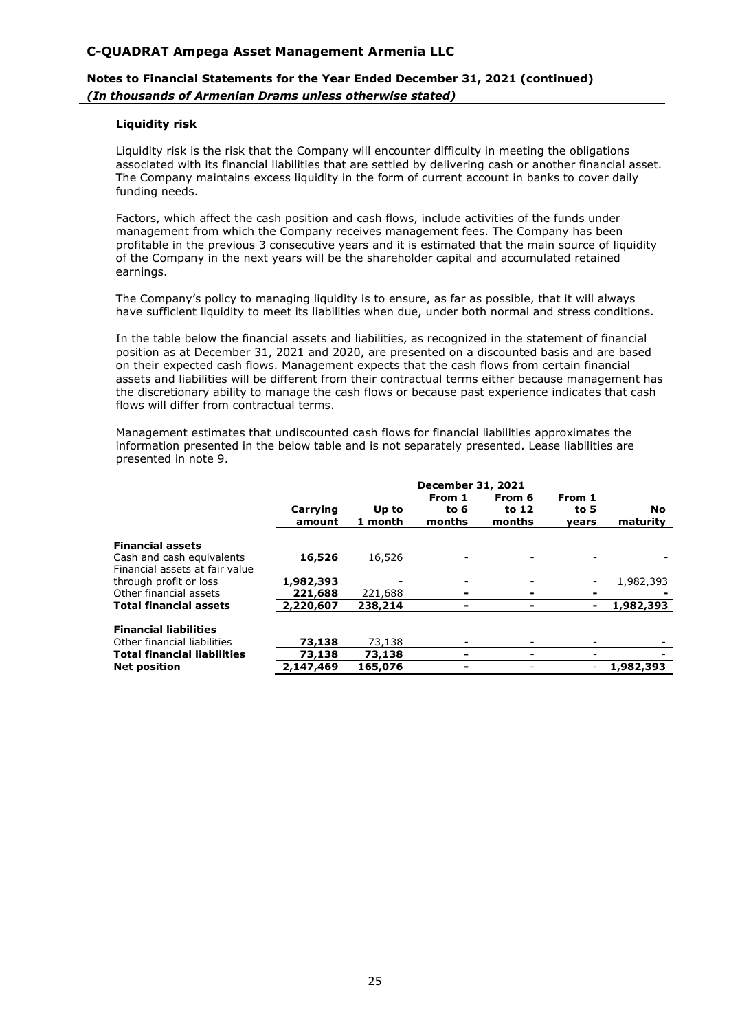# **Notes to Financial Statements for the Year Ended December 31, 2021 (continued)** *(In thousands of Armenian Drams unless otherwise stated)*

### **Liquidity risk**

Liquidity risk is the risk that the Company will encounter difficulty in meeting the obligations associated with its financial liabilities that are settled by delivering cash or another financial asset. The Company maintains excess liquidity in the form of current account in banks to cover daily funding needs.

Factors, which affect the cash position and cash flows, include activities of the funds under management from which the Company receives management fees. The Company has been profitable in the previous 3 consecutive years and it is estimated that the main source of liquidity of the Company in the next years will be the shareholder capital and accumulated retained earnings.

The Company's policy to managing liquidity is to ensure, as far as possible, that it will always have sufficient liquidity to meet its liabilities when due, under both normal and stress conditions.

In the table below the financial assets and liabilities, as recognized in the statement of financial position as at December 31, 2021 and 2020, are presented on a discounted basis and are based on their expected cash flows. Management expects that the cash flows from certain financial assets and liabilities will be different from their contractual terms either because management has the discretionary ability to manage the cash flows or because past experience indicates that cash flows will differ from contractual terms.

Management estimates that undiscounted cash flows for financial liabilities approximates the information presented in the below table and is not separately presented. Lease liabilities are presented in note 9.

|                                                             | <b>December 31, 2021</b> |                  |                          |                             |                         |                |
|-------------------------------------------------------------|--------------------------|------------------|--------------------------|-----------------------------|-------------------------|----------------|
|                                                             | Carrying<br>amount       | Up to<br>1 month | From 1<br>to 6<br>months | From 6<br>to $12$<br>months | From 1<br>to 5<br>vears | No<br>maturity |
| <b>Financial assets</b>                                     |                          |                  |                          |                             |                         |                |
| Cash and cash equivalents<br>Financial assets at fair value | 16,526                   | 16,526           |                          |                             |                         |                |
| through profit or loss                                      | 1,982,393                |                  |                          |                             |                         | 1,982,393      |
| Other financial assets                                      | 221,688                  | 221,688          |                          |                             | ۰                       |                |
| <b>Total financial assets</b>                               | 2,220,607                | 238,214          |                          |                             | ۰                       | 1,982,393      |
| <b>Financial liabilities</b>                                |                          |                  |                          |                             |                         |                |
| Other financial liabilities                                 | 73,138                   | 73,138           |                          | -                           |                         |                |
| <b>Total financial liabilities</b>                          | 73,138                   | 73,138           | -                        |                             |                         |                |
| <b>Net position</b>                                         | 2,147,469                | 165,076          |                          |                             | -                       | 1,982,393      |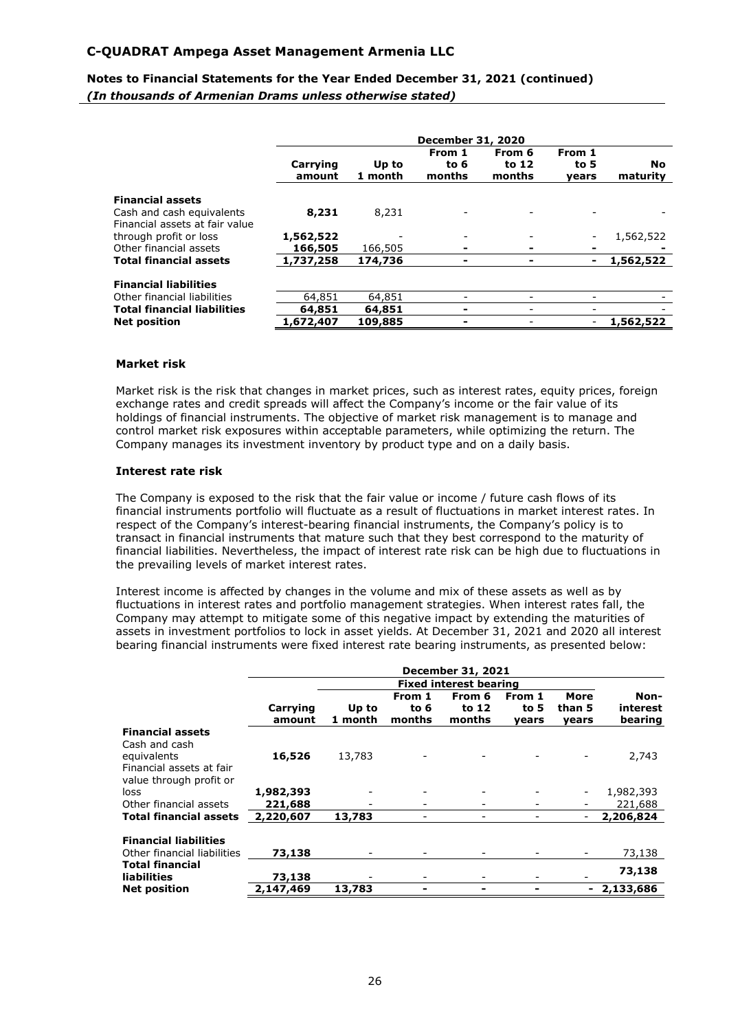### **Notes to Financial Statements for the Year Ended December 31, 2021 (continued)** *(In thousands of Armenian Drams unless otherwise stated)*

|                                                             | <b>December 31, 2020</b> |                  |                          |                             |                         |                |
|-------------------------------------------------------------|--------------------------|------------------|--------------------------|-----------------------------|-------------------------|----------------|
|                                                             | Carrying<br>amount       | Up to<br>1 month | From 1<br>to 6<br>months | From 6<br>to $12$<br>months | From 1<br>to 5<br>vears | No<br>maturity |
| <b>Financial assets</b>                                     |                          |                  |                          |                             |                         |                |
| Cash and cash equivalents<br>Financial assets at fair value | 8,231                    | 8,231            |                          |                             |                         |                |
| through profit or loss                                      | 1,562,522                |                  |                          |                             |                         | 1,562,522      |
| Other financial assets                                      | 166,505                  | 166,505          |                          |                             |                         |                |
| <b>Total financial assets</b>                               | 1,737,258                | 174,736          | -                        |                             |                         | 1,562,522      |
| <b>Financial liabilities</b>                                |                          |                  |                          |                             |                         |                |
| Other financial liabilities                                 | 64,851                   | 64,851           |                          |                             |                         |                |
| <b>Total financial liabilities</b>                          | 64,851                   | 64,851           | -                        |                             |                         |                |
| <b>Net position</b>                                         | 1,672,407                | 109,885          |                          |                             |                         | 1,562,522      |

#### **Market risk**

Market risk is the risk that changes in market prices, such as interest rates, equity prices, foreign exchange rates and credit spreads will affect the Company's income or the fair value of its holdings of financial instruments. The objective of market risk management is to manage and control market risk exposures within acceptable parameters, while optimizing the return. The Company manages its investment inventory by product type and on a daily basis.

#### **Interest rate risk**

The Company is exposed to the risk that the fair value or income / future cash flows of its financial instruments portfolio will fluctuate as a result of fluctuations in market interest rates. In respect of the Company's interest-bearing financial instruments, the Company's policy is to transact in financial instruments that mature such that they best correspond to the maturity of financial liabilities. Nevertheless, the impact of interest rate risk can be high due to fluctuations in the prevailing levels of market interest rates.

Interest income is affected by changes in the volume and mix of these assets as well as by fluctuations in interest rates and portfolio management strategies. When interest rates fall, the Company may attempt to mitigate some of this negative impact by extending the maturities of assets in investment portfolios to lock in asset yields. At December 31, 2021 and 2020 all interest bearing financial instruments were fixed interest rate bearing instruments, as presented below:

|                              | December 31, 2021 |         |        |                               |        |        |           |
|------------------------------|-------------------|---------|--------|-------------------------------|--------|--------|-----------|
|                              |                   |         |        | <b>Fixed interest bearing</b> |        |        |           |
|                              |                   |         | From 1 | From 6                        | From 1 | More   | Non-      |
|                              | Carrying          | Up to   | to 6   | to 12                         | to 5   | than 5 | interest  |
|                              | amount            | 1 month | months | months                        | vears  | vears  | bearing   |
| <b>Financial assets</b>      |                   |         |        |                               |        |        |           |
| Cash and cash                |                   |         |        |                               |        |        |           |
| equivalents                  | 16,526            | 13,783  |        |                               |        |        | 2,743     |
| Financial assets at fair     |                   |         |        |                               |        |        |           |
| value through profit or      |                   |         |        |                               |        |        |           |
| loss                         | 1,982,393         |         |        |                               |        |        | 1,982,393 |
| Other financial assets       | 221,688           |         |        |                               |        |        | 221,688   |
| Total financial assets       | 2,220,607         | 13,783  |        |                               |        |        | 2,206,824 |
|                              |                   |         |        |                               |        |        |           |
| <b>Financial liabilities</b> |                   |         |        |                               |        |        |           |
| Other financial liabilities  | 73,138            |         |        |                               |        |        | 73,138    |
| <b>Total financial</b>       |                   |         |        |                               |        |        |           |
| <b>liabilities</b>           | 73,138            |         |        |                               |        |        | 73,138    |
| <b>Net position</b>          | 2,147,469         | 13,783  |        |                               |        | ٠      | 2,133,686 |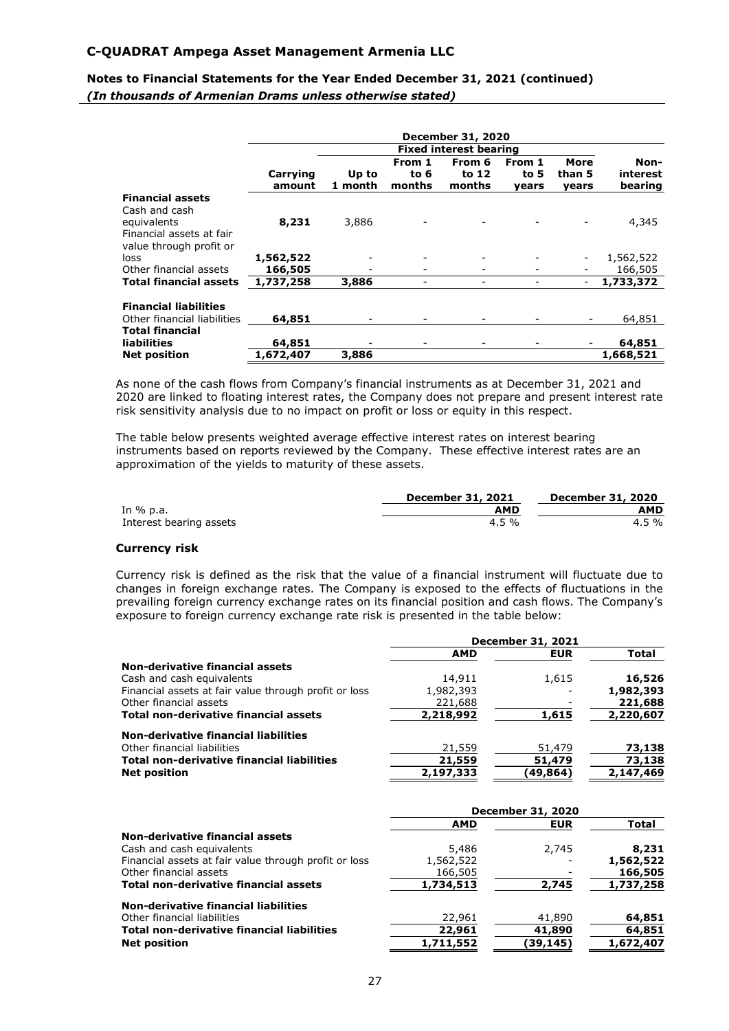# **Notes to Financial Statements for the Year Ended December 31, 2021 (continued)** *(In thousands of Armenian Drams unless otherwise stated)*

|                              | <b>December 31, 2020</b>      |         |        |         |        |        |           |
|------------------------------|-------------------------------|---------|--------|---------|--------|--------|-----------|
|                              | <b>Fixed interest bearing</b> |         |        |         |        |        |           |
|                              |                               |         | From 1 | From 6  | From 1 | More   | Non-      |
|                              | Carrying                      | Up to   | to 6   | to $12$ | to 5   | than 5 | interest  |
|                              | amount                        | 1 month | months | months  | vears  | vears  | bearing   |
| <b>Financial assets</b>      |                               |         |        |         |        |        |           |
| Cash and cash                |                               |         |        |         |        |        |           |
| equivalents                  | 8,231                         | 3,886   |        |         |        |        | 4,345     |
| Financial assets at fair     |                               |         |        |         |        |        |           |
| value through profit or      |                               |         |        |         |        |        |           |
| loss                         | 1,562,522                     |         |        |         |        |        | 1,562,522 |
| Other financial assets       | 166,505                       |         |        |         |        |        | 166,505   |
| Total financial assets       | 1,737,258                     | 3,886   |        |         |        |        | 1,733,372 |
|                              |                               |         |        |         |        |        |           |
| <b>Financial liabilities</b> |                               |         |        |         |        |        |           |
| Other financial liabilities  | 64,851                        |         |        |         |        |        | 64,851    |
| <b>Total financial</b>       |                               |         |        |         |        |        |           |
| <b>liabilities</b>           | 64,851                        |         |        |         |        |        | 64,851    |
| <b>Net position</b>          | 1,672,407                     | 3,886   |        |         |        |        | 1,668,521 |

As none of the cash flows from Company's financial instruments as at December 31, 2021 and 2020 are linked to floating interest rates, the Company does not prepare and present interest rate risk sensitivity analysis due to no impact on profit or loss or equity in this respect.

The table below presents weighted average effective interest rates on interest bearing instruments based on reports reviewed by the Company. These effective interest rates are an approximation of the yields to maturity of these assets.

|                         | <b>December 31, 2021</b> | <b>December 31, 2020</b> |
|-------------------------|--------------------------|--------------------------|
| In % p.a.               | <b>AMD</b>               | AMD                      |
| Interest bearing assets | $4.5\%$                  | $4.5\%$                  |

#### **Currency risk**

Currency risk is defined as the risk that the value of a financial instrument will fluctuate due to changes in foreign exchange rates. The Company is exposed to the effects of fluctuations in the prevailing foreign currency exchange rates on its financial position and cash flows. The Company's exposure to foreign currency exchange rate risk is presented in the table below:

|                                                       | <b>December 31, 2021</b> |            |              |  |
|-------------------------------------------------------|--------------------------|------------|--------------|--|
|                                                       | <b>AMD</b>               | <b>EUR</b> | <b>Total</b> |  |
| <b>Non-derivative financial assets</b>                |                          |            |              |  |
| Cash and cash equivalents                             | 14,911                   | 1,615      | 16,526       |  |
| Financial assets at fair value through profit or loss | 1,982,393                |            | 1,982,393    |  |
| Other financial assets                                | 221,688                  |            | 221,688      |  |
| Total non-derivative financial assets                 | 2,218,992                | 1,615      | 2,220,607    |  |
| Non-derivative financial liabilities                  |                          |            |              |  |
| Other financial liabilities                           | 21,559                   | 51,479     | 73,138       |  |
| Total non-derivative financial liabilities            | 21,559                   | 51,479     | 73,138       |  |
| <b>Net position</b>                                   | 2,197,333                | (49,864)   | 2,147,469    |  |

|                                                       | December 31, 2020 |            |              |  |
|-------------------------------------------------------|-------------------|------------|--------------|--|
|                                                       | <b>AMD</b>        | <b>EUR</b> | <b>Total</b> |  |
| <b>Non-derivative financial assets</b>                |                   |            |              |  |
| Cash and cash equivalents                             | 5,486             | 2,745      | 8,231        |  |
| Financial assets at fair value through profit or loss | 1,562,522         |            | 1,562,522    |  |
| Other financial assets                                | 166,505           |            | 166,505      |  |
| <b>Total non-derivative financial assets</b>          | 1,734,513         | 2,745      | 1,737,258    |  |
| <b>Non-derivative financial liabilities</b>           |                   |            |              |  |
| Other financial liabilities                           | 22,961            | 41,890     | 64,851       |  |
| <b>Total non-derivative financial liabilities</b>     | 22,961            | 41,890     | 64,851       |  |
| <b>Net position</b>                                   | 1,711,552         | (39,145)   | 1,672,407    |  |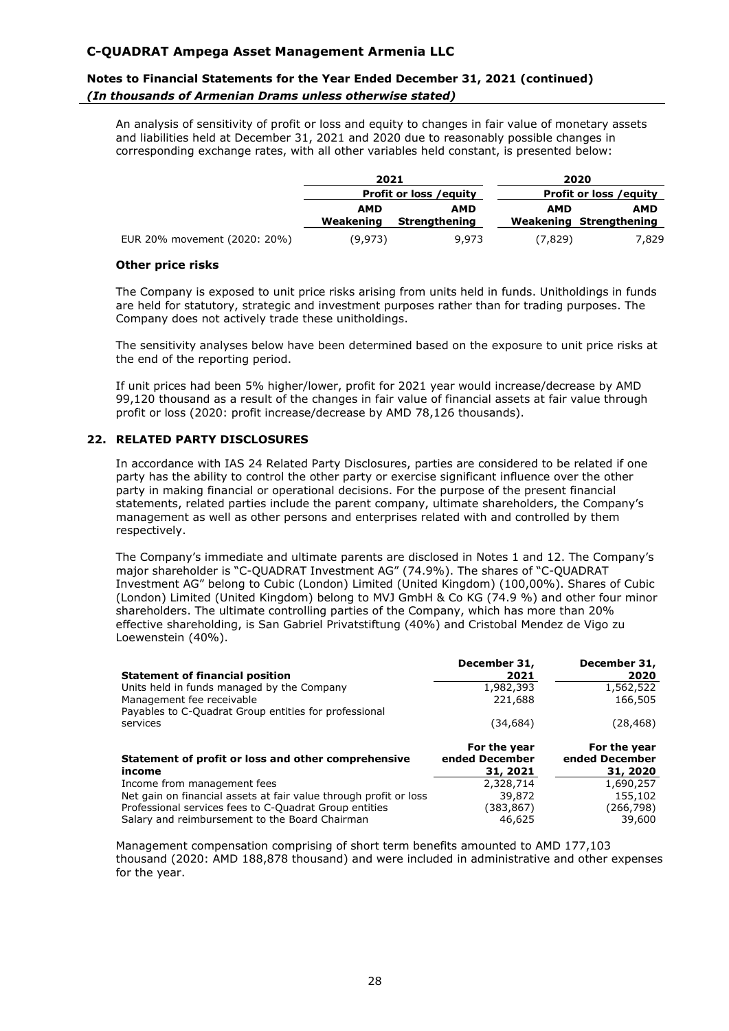# **Notes to Financial Statements for the Year Ended December 31, 2021 (continued)** *(In thousands of Armenian Drams unless otherwise stated)*

An analysis of sensitivity of profit or loss and equity to changes in fair value of monetary assets and liabilities held at December 31, 2021 and 2020 due to reasonably possible changes in corresponding exchange rates, with all other variables held constant, is presented below:

|                              | 2021             |                                | 2020<br><b>Profit or loss / equity</b> |                                |  |
|------------------------------|------------------|--------------------------------|----------------------------------------|--------------------------------|--|
|                              |                  | <b>Profit or loss / equity</b> |                                        |                                |  |
|                              | AMD<br>Weakening | AMD<br>Strengthening           | AMD                                    | AMD<br>Weakening Strengthening |  |
| EUR 20% movement (2020: 20%) | (9,973)          | 9.973                          | (7, 829)                               | 7,829                          |  |

### **Other price risks**

The Company is exposed to unit price risks arising from units held in funds. Unitholdings in funds are held for statutory, strategic and investment purposes rather than for trading purposes. The Company does not actively trade these unitholdings.

The sensitivity analyses below have been determined based on the exposure to unit price risks at the end of the reporting period.

If unit prices had been 5% higher/lower, profit for 2021 year would increase/decrease by AMD 99,120 thousand as a result of the changes in fair value of financial assets at fair value through profit or loss (2020: profit increase/decrease by AMD 78,126 thousands).

### <span id="page-29-0"></span>**22. RELATED PARTY DISCLOSURES**

In accordance with IAS 24 Related Party Disclosures, parties are considered to be related if one party has the ability to control the other party or exercise significant influence over the other party in making financial or operational decisions. For the purpose of the present financial statements, related parties include the parent company, ultimate shareholders, the Company's management as well as other persons and enterprises related with and controlled by them respectively.

The Company's immediate and ultimate parents are disclosed in Notes 1 and 12. The Company's major shareholder is "C-QUADRAT Investment AG" (74.9%). The shares of "C-QUADRAT Investment AG" belong to Cubic (London) Limited (United Kingdom) (100,00%). Shares of Cubic (London) Limited (United Kingdom) belong to MVJ GmbH & Co KG (74.9 %) and other four minor shareholders. The ultimate controlling parties of the Company, which has more than 20% effective shareholding, is San Gabriel Privatstiftung (40%) and Cristobal Mendez de Vigo zu Loewenstein (40%).

|                                                                   | December 31,                   | December 31,                   |
|-------------------------------------------------------------------|--------------------------------|--------------------------------|
| <b>Statement of financial position</b>                            | 2021                           | 2020                           |
| Units held in funds managed by the Company                        | 1,982,393                      | 1,562,522                      |
| Management fee receivable                                         | 221,688                        | 166,505                        |
| Payables to C-Quadrat Group entities for professional             |                                |                                |
| services                                                          | (34,684)                       | (28, 468)                      |
| Statement of profit or loss and other comprehensive               | For the year<br>ended December | For the year<br>ended December |
| income                                                            | 31, 2021                       | 31, 2020                       |
| Income from management fees                                       | 2,328,714                      | 1,690,257                      |
| Net gain on financial assets at fair value through profit or loss | 39,872                         | 155,102                        |
| Professional services fees to C-Quadrat Group entities            | (383,867)                      | (266,798)                      |

Management compensation comprising of short term benefits amounted to AMD 177,103 thousand (2020: AMD 188,878 thousand) and were included in administrative and other expenses for the year.